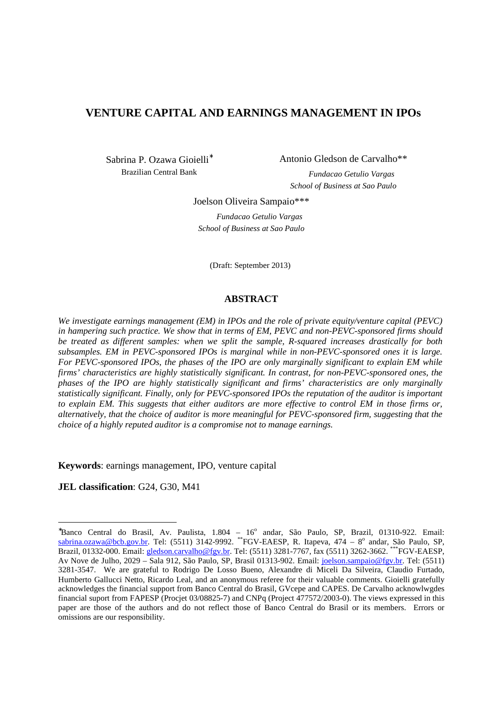# **VENTURE CAPITAL AND EARNINGS MANAGEMENT IN IPOs**

Sabrina P. Ozawa Gioielli<sup>∗</sup> Brazilian Central Bank

Antonio Gledson de Carvalho\*\*

*Fundacao Getulio Vargas School of Business at Sao Paulo*

Joelson Oliveira Sampaio\*\*\*

*Fundacao Getulio Vargas School of Business at Sao Paulo*

(Draft: September 2013)

#### **ABSTRACT**

*We investigate earnings management (EM) in IPOs and the role of private equity/venture capital (PEVC) in hampering such practice. We show that in terms of EM, PEVC and non-PEVC-sponsored firms should be treated as different samples: when we split the sample, R-squared increases drastically for both subsamples. EM in PEVC-sponsored IPOs is marginal while in non-PEVC-sponsored ones it is large. For PEVC-sponsored IPOs, the phases of the IPO are only marginally significant to explain EM while firms' characteristics are highly statistically significant. In contrast, for non-PEVC-sponsored ones, the phases of the IPO are highly statistically significant and firms' characteristics are only marginally statistically significant. Finally, only for PEVC-sponsored IPOs the reputation of the auditor is important to explain EM. This suggests that either auditors are more effective to control EM in those firms or, alternatively, that the choice of auditor is more meaningful for PEVC-sponsored firm, suggesting that the choice of a highly reputed auditor is a compromise not to manage earnings.* 

**Keywords**: earnings management, IPO, venture capital

**JEL classification**: G24, G30, M41

 $\overline{a}$ 

<sup>\*</sup>Banco Central do Brasil, Av. Paulista, 1.804 – 16<sup>°</sup> andar, São Paulo, SP, Brazil, 01310-922. Email: sabrina.ozawa@bcb.gov.br. Tel: (5511) 3142-9992. \*\*FGV-EAESP, R. Itapeva, 474 – 8° andar, São Paulo, SP, Brazil, 01332-000. Email: gledson.carvalho@fgv.br. Tel: (5511) 3281-7767, fax (5511) 3262-3662. \*\*\*FGV-EAESP, Av Nove de Julho, 2029 – Sala 912, São Paulo, SP, Brasil 01313-902. Email: joelson.sampaio@fgv.br. Tel: (5511) 3281-3547. We are grateful to Rodrigo De Losso Bueno, Alexandre di Miceli Da Silveira, Claudio Furtado, Humberto Gallucci Netto, Ricardo Leal, and an anonymous referee for their valuable comments. Gioielli gratefully acknowledges the financial support from Banco Central do Brasil, GVcepe and CAPES. De Carvalho acknowlwgdes financial suport from FAPESP (Procjet 03/08825-7) and CNPq (Project 477572/2003-0). The views expressed in this paper are those of the authors and do not reflect those of Banco Central do Brasil or its members. Errors or omissions are our responsibility.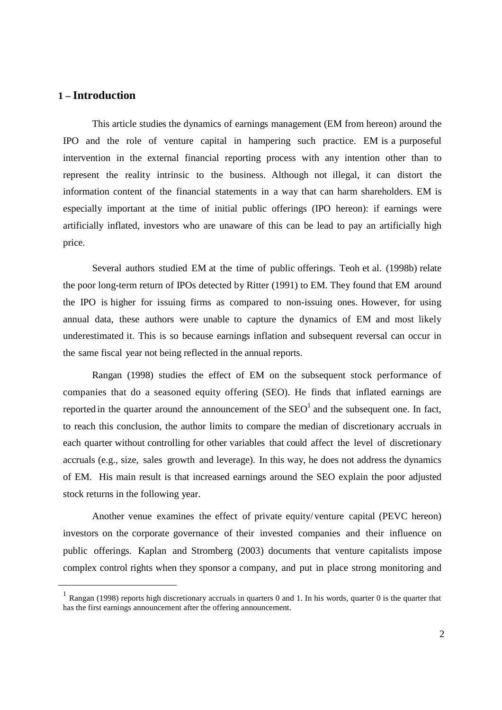# **1 – Introduction**

This article studies the dynamics of earnings management (EM from hereon) around the IPO and the role of venture capital in hampering such practice. EM is a purposeful intervention in the external financial reporting process with any intention other than to represent the reality intrinsic to the business. Although not illegal, it can distort the information content of the financial statements in a way that can harm shareholders. EM is especially important at the time of initial public offerings (IPO hereon): if earnings were artificially inflated, investors who are unaware of this can be lead to pay an artificially high price.

Several authors studied EM at the time of public offerings. Teoh et al. (1998b) relate the poor long-term return of IPOs detected by Ritter (1991) to EM. They found that EM around the IPO is higher for issuing firms as compared to non-issuing ones. However, for using annual data, these authors were unable to capture the dynamics of EM and most likely underestimated it. This is so because earnings inflation and subsequent reversal can occur in the same fiscal year not being reflected in the annual reports.

Rangan (1998) studies the effect of EM on the subsequent stock performance of companies that do a seasoned equity offering (SEO). He finds that inflated earnings are reported in the quarter around the announcement of the  $\text{SEO}^1$  and the subsequent one. In fact, to reach this conclusion, the author limits to compare the median of discretionary accruals in each quarter without controlling for other variables that could affect the level of discretionary accruals (e.g., size, sales growth and leverage). In this way, he does not address the dynamics of EM. His main result is that increased earnings around the SEO explain the poor adjusted stock returns in the following year.

Another venue examines the effect of private equity/venture capital (PEVC hereon) investors on the corporate governance of their invested companies and their influence on public offerings. Kaplan and Stromberg (2003) documents that venture capitalists impose complex control rights when they sponsor a company, and put in place strong monitoring and

<sup>&</sup>lt;sup>1</sup> Rangan (1998) reports high discretionary accruals in quarters 0 and 1. In his words, quarter 0 is the quarter that has the first earnings announcement after the offering announcement.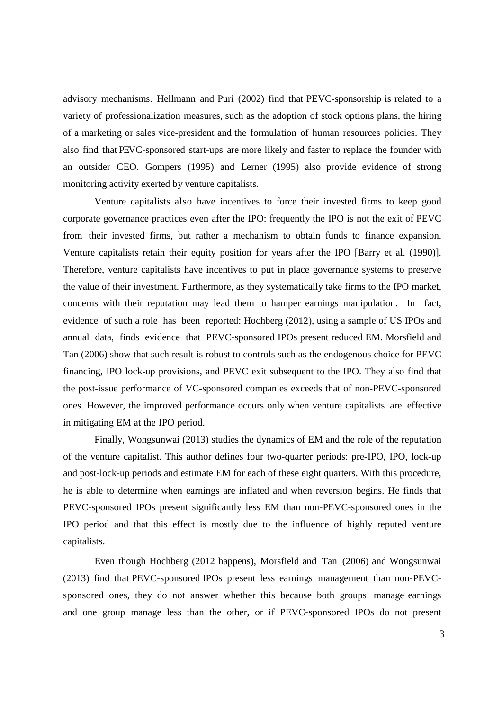advisory mechanisms. Hellmann and Puri (2002) find that PEVC-sponsorship is related to a variety of professionalization measures, such as the adoption of stock options plans, the hiring of a marketing or sales vice-president and the formulation of human resources policies. They also find that PEVC-sponsored start-ups are more likely and faster to replace the founder with an outsider CEO. Gompers (1995) and Lerner (1995) also provide evidence of strong monitoring activity exerted by venture capitalists.

Venture capitalists also have incentives to force their invested firms to keep good corporate governance practices even after the IPO: frequently the IPO is not the exit of PEVC from their invested firms, but rather a mechanism to obtain funds to finance expansion. Venture capitalists retain their equity position for years after the IPO [Barry et al. (1990)]. Therefore, venture capitalists have incentives to put in place governance systems to preserve the value of their investment. Furthermore, as they systematically take firms to the IPO market, concerns with their reputation may lead them to hamper earnings manipulation. In fact, evidence of such a role has been reported: Hochberg (2012), using a sample of US IPOs and annual data, finds evidence that PEVC-sponsored IPOs present reduced EM. Morsfield and Tan (2006) show that such result is robust to controls such as the endogenous choice for PEVC financing, IPO lock-up provisions, and PEVC exit subsequent to the IPO. They also find that the post-issue performance of VC-sponsored companies exceeds that of non-PEVC-sponsored ones. However, the improved performance occurs only when venture capitalists are effective in mitigating EM at the IPO period.

Finally, Wongsunwai (2013) studies the dynamics of EM and the role of the reputation of the venture capitalist. This author defines four two-quarter periods: pre-IPO, IPO, lock-up and post-lock-up periods and estimate EM for each of these eight quarters. With this procedure, he is able to determine when earnings are inflated and when reversion begins. He finds that PEVC-sponsored IPOs present significantly less EM than non-PEVC-sponsored ones in the IPO period and that this effect is mostly due to the influence of highly reputed venture capitalists.

Even though Hochberg (2012 happens), Morsfield and Tan (2006) and Wongsunwai (2013) find that PEVC-sponsored IPOs present less earnings management than non-PEVCsponsored ones, they do not answer whether this because both groups manage earnings and one group manage less than the other, or if PEVC-sponsored IPOs do not present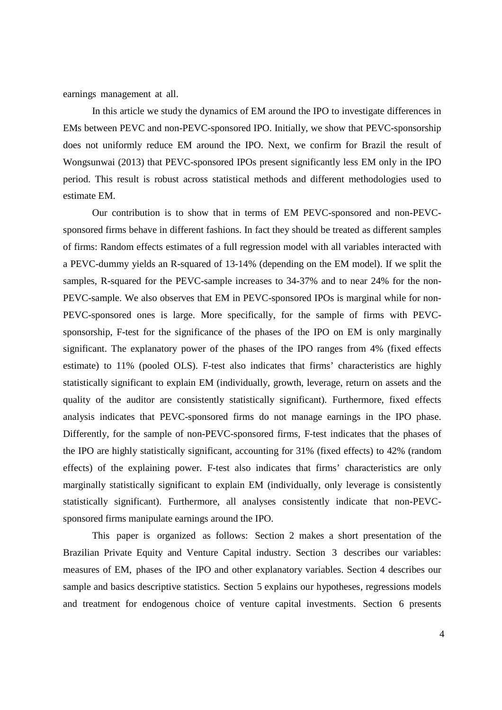earnings management at all.

In this article we study the dynamics of EM around the IPO to investigate differences in EMs between PEVC and non-PEVC-sponsored IPO. Initially, we show that PEVC-sponsorship does not uniformly reduce EM around the IPO. Next, we confirm for Brazil the result of Wongsunwai (2013) that PEVC-sponsored IPOs present significantly less EM only in the IPO period. This result is robust across statistical methods and different methodologies used to estimate EM.

Our contribution is to show that in terms of EM PEVC-sponsored and non-PEVCsponsored firms behave in different fashions. In fact they should be treated as different samples of firms: Random effects estimates of a full regression model with all variables interacted with a PEVC-dummy yields an R-squared of 13-14% (depending on the EM model). If we split the samples, R-squared for the PEVC-sample increases to 34-37% and to near 24% for the non-PEVC-sample. We also observes that EM in PEVC-sponsored IPOs is marginal while for non-PEVC-sponsored ones is large. More specifically, for the sample of firms with PEVCsponsorship, F-test for the significance of the phases of the IPO on EM is only marginally significant. The explanatory power of the phases of the IPO ranges from 4% (fixed effects estimate) to 11% (pooled OLS). F-test also indicates that firms' characteristics are highly statistically significant to explain EM (individually, growth, leverage, return on assets and the quality of the auditor are consistently statistically significant). Furthermore, fixed effects analysis indicates that PEVC-sponsored firms do not manage earnings in the IPO phase. Differently, for the sample of non-PEVC-sponsored firms, F-test indicates that the phases of the IPO are highly statistically significant, accounting for 31% (fixed effects) to 42% (random effects) of the explaining power. F-test also indicates that firms' characteristics are only marginally statistically significant to explain EM (individually, only leverage is consistently statistically significant). Furthermore, all analyses consistently indicate that non-PEVCsponsored firms manipulate earnings around the IPO.

This paper is organized as follows: Section 2 makes a short presentation of the Brazilian Private Equity and Venture Capital industry. Section 3 describes our variables: measures of EM, phases of the IPO and other explanatory variables. Section 4 describes our sample and basics descriptive statistics. Section 5 explains our hypotheses, regressions models and treatment for endogenous choice of venture capital investments. Section 6 presents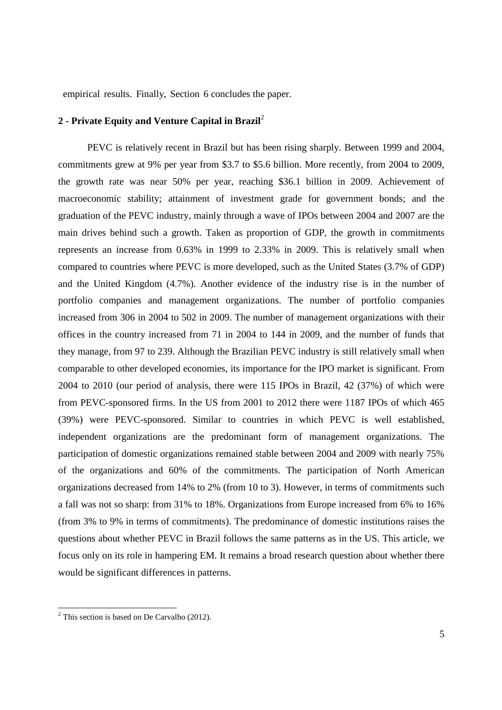empirical results. Finally, Section 6 concludes the paper.

# **2 - Private Equity and Venture Capital in Brazil**<sup>2</sup>

PEVC is relatively recent in Brazil but has been rising sharply. Between 1999 and 2004, commitments grew at 9% per year from \$3.7 to \$5.6 billion. More recently, from 2004 to 2009, the growth rate was near 50% per year, reaching \$36.1 billion in 2009. Achievement of macroeconomic stability; attainment of investment grade for government bonds; and the graduation of the PEVC industry, mainly through a wave of IPOs between 2004 and 2007 are the main drives behind such a growth. Taken as proportion of GDP, the growth in commitments represents an increase from 0.63% in 1999 to 2.33% in 2009. This is relatively small when compared to countries where PEVC is more developed, such as the United States (3.7% of GDP) and the United Kingdom (4.7%). Another evidence of the industry rise is in the number of portfolio companies and management organizations. The number of portfolio companies increased from 306 in 2004 to 502 in 2009. The number of management organizations with their offices in the country increased from 71 in 2004 to 144 in 2009, and the number of funds that they manage, from 97 to 239. Although the Brazilian PEVC industry is still relatively small when comparable to other developed economies, its importance for the IPO market is significant. From 2004 to 2010 (our period of analysis, there were 115 IPOs in Brazil, 42 (37%) of which were from PEVC-sponsored firms. In the US from 2001 to 2012 there were 1187 IPOs of which 465 (39%) were PEVC-sponsored. Similar to countries in which PEVC is well established, independent organizations are the predominant form of management organizations. The participation of domestic organizations remained stable between 2004 and 2009 with nearly 75% of the organizations and 60% of the commitments. The participation of North American organizations decreased from 14% to 2% (from 10 to 3). However, in terms of commitments such a fall was not so sharp: from 31% to 18%. Organizations from Europe increased from 6% to 16% (from 3% to 9% in terms of commitments). The predominance of domestic institutions raises the questions about whether PEVC in Brazil follows the same patterns as in the US. This article, we focus only on its role in hampering EM. It remains a broad research question about whether there would be significant differences in patterns.

 $\overline{a}$ 

 $2$  This section is based on De Carvalho (2012).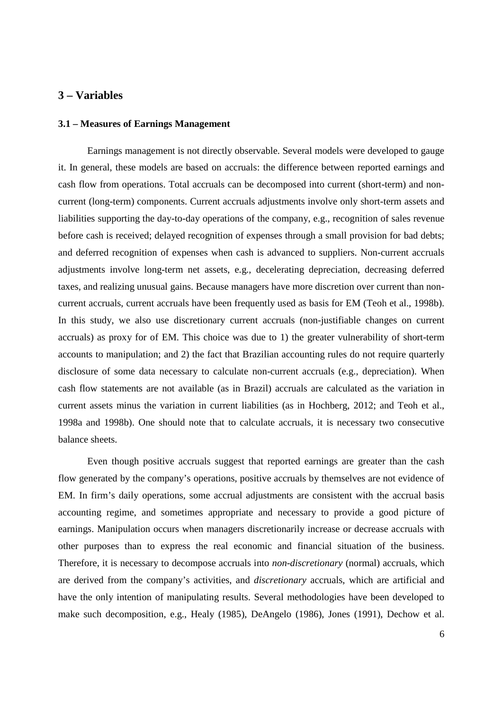## **3 – Variables**

#### **3.1 – Measures of Earnings Management**

Earnings management is not directly observable. Several models were developed to gauge it. In general, these models are based on accruals: the difference between reported earnings and cash flow from operations. Total accruals can be decomposed into current (short-term) and noncurrent (long-term) components. Current accruals adjustments involve only short-term assets and liabilities supporting the day-to-day operations of the company, e.g., recognition of sales revenue before cash is received; delayed recognition of expenses through a small provision for bad debts; and deferred recognition of expenses when cash is advanced to suppliers. Non-current accruals adjustments involve long-term net assets, e.g., decelerating depreciation, decreasing deferred taxes, and realizing unusual gains. Because managers have more discretion over current than noncurrent accruals, current accruals have been frequently used as basis for EM (Teoh et al., 1998b). In this study, we also use discretionary current accruals (non-justifiable changes on current accruals) as proxy for of EM. This choice was due to 1) the greater vulnerability of short-term accounts to manipulation; and 2) the fact that Brazilian accounting rules do not require quarterly disclosure of some data necessary to calculate non-current accruals (e.g., depreciation). When cash flow statements are not available (as in Brazil) accruals are calculated as the variation in current assets minus the variation in current liabilities (as in Hochberg, 2012; and Teoh et al., 1998a and 1998b). One should note that to calculate accruals, it is necessary two consecutive balance sheets.

Even though positive accruals suggest that reported earnings are greater than the cash flow generated by the company's operations, positive accruals by themselves are not evidence of EM. In firm's daily operations, some accrual adjustments are consistent with the accrual basis accounting regime, and sometimes appropriate and necessary to provide a good picture of earnings. Manipulation occurs when managers discretionarily increase or decrease accruals with other purposes than to express the real economic and financial situation of the business. Therefore, it is necessary to decompose accruals into *non-discretionary* (normal) accruals, which are derived from the company's activities, and *discretionary* accruals, which are artificial and have the only intention of manipulating results. Several methodologies have been developed to make such decomposition, e.g., Healy (1985), DeAngelo (1986), Jones (1991), Dechow et al.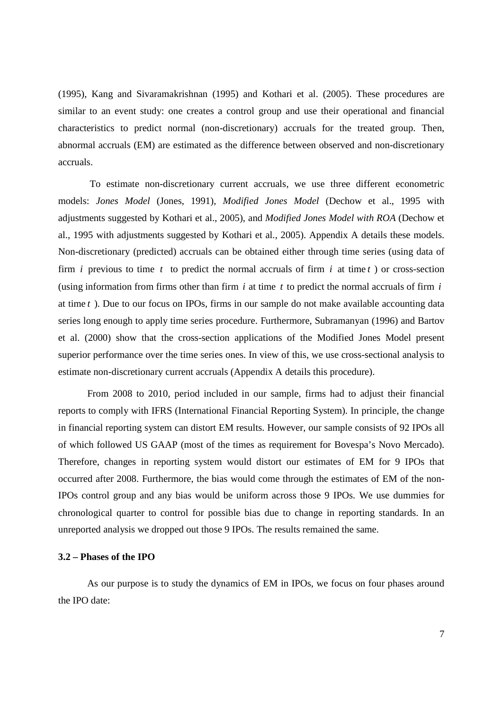(1995), Kang and Sivaramakrishnan (1995) and Kothari et al. (2005). These procedures are similar to an event study: one creates a control group and use their operational and financial characteristics to predict normal (non-discretionary) accruals for the treated group. Then, abnormal accruals (EM) are estimated as the difference between observed and non-discretionary accruals.

 To estimate non-discretionary current accruals, we use three different econometric models: *Jones Model* (Jones, 1991), *Modified Jones Model* (Dechow et al., 1995 with adjustments suggested by Kothari et al., 2005), and *Modified Jones Model with ROA* (Dechow et al., 1995 with adjustments suggested by Kothari et al., 2005). Appendix A details these models. Non-discretionary (predicted) accruals can be obtained either through time series (using data of firm *i* previous to time *t* to predict the normal accruals of firm *i* at time *t* ) or cross-section (using information from firms other than firm *i* at time *t* to predict the normal accruals of firm *i* at time *t* ). Due to our focus on IPOs, firms in our sample do not make available accounting data series long enough to apply time series procedure. Furthermore, Subramanyan (1996) and Bartov et al. (2000) show that the cross-section applications of the Modified Jones Model present superior performance over the time series ones. In view of this, we use cross-sectional analysis to estimate non-discretionary current accruals (Appendix A details this procedure).

From 2008 to 2010, period included in our sample, firms had to adjust their financial reports to comply with IFRS (International Financial Reporting System). In principle, the change in financial reporting system can distort EM results. However, our sample consists of 92 IPOs all of which followed US GAAP (most of the times as requirement for Bovespa's Novo Mercado). Therefore, changes in reporting system would distort our estimates of EM for 9 IPOs that occurred after 2008. Furthermore, the bias would come through the estimates of EM of the non-IPOs control group and any bias would be uniform across those 9 IPOs. We use dummies for chronological quarter to control for possible bias due to change in reporting standards. In an unreported analysis we dropped out those 9 IPOs. The results remained the same.

#### **3.2 – Phases of the IPO**

As our purpose is to study the dynamics of EM in IPOs, we focus on four phases around the IPO date: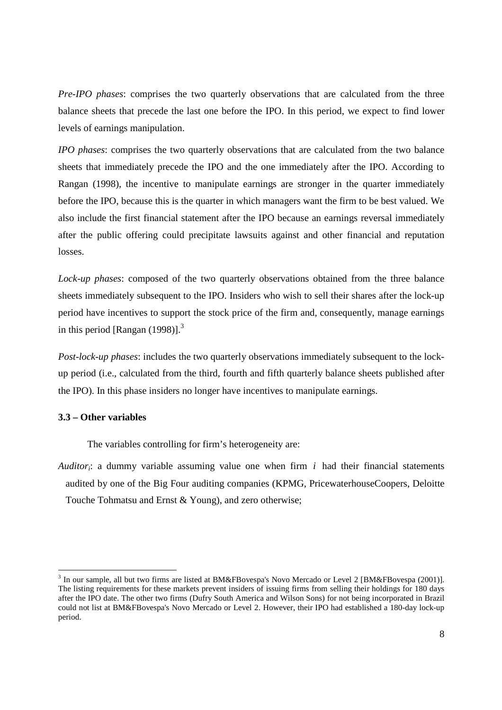*Pre-IPO phases*: comprises the two quarterly observations that are calculated from the three balance sheets that precede the last one before the IPO. In this period, we expect to find lower levels of earnings manipulation.

*IPO phases*: comprises the two quarterly observations that are calculated from the two balance sheets that immediately precede the IPO and the one immediately after the IPO. According to Rangan (1998), the incentive to manipulate earnings are stronger in the quarter immediately before the IPO, because this is the quarter in which managers want the firm to be best valued. We also include the first financial statement after the IPO because an earnings reversal immediately after the public offering could precipitate lawsuits against and other financial and reputation losses.

*Lock-up phases*: composed of the two quarterly observations obtained from the three balance sheets immediately subsequent to the IPO. Insiders who wish to sell their shares after the lock-up period have incentives to support the stock price of the firm and, consequently, manage earnings in this period [Rangan  $(1998)$ ].<sup>3</sup>

*Post-lock-up phases*: includes the two quarterly observations immediately subsequent to the lockup period (i.e., calculated from the third, fourth and fifth quarterly balance sheets published after the IPO). In this phase insiders no longer have incentives to manipulate earnings.

## **3.3 – Other variables**

The variables controlling for firm's heterogeneity are:

*Auditori*: a dummy variable assuming value one when firm *i* had their financial statements audited by one of the Big Four auditing companies (KPMG, PricewaterhouseCoopers, Deloitte Touche Tohmatsu and Ernst & Young), and zero otherwise;

<sup>&</sup>lt;sup>3</sup> In our sample, all but two firms are listed at BM&FBovespa's Novo Mercado or Level 2 [BM&FBovespa (2001)]. The listing requirements for these markets prevent insiders of issuing firms from selling their holdings for 180 days after the IPO date. The other two firms (Dufry South America and Wilson Sons) for not being incorporated in Brazil could not list at BM&FBovespa's Novo Mercado or Level 2. However, their IPO had established a 180-day lock-up period.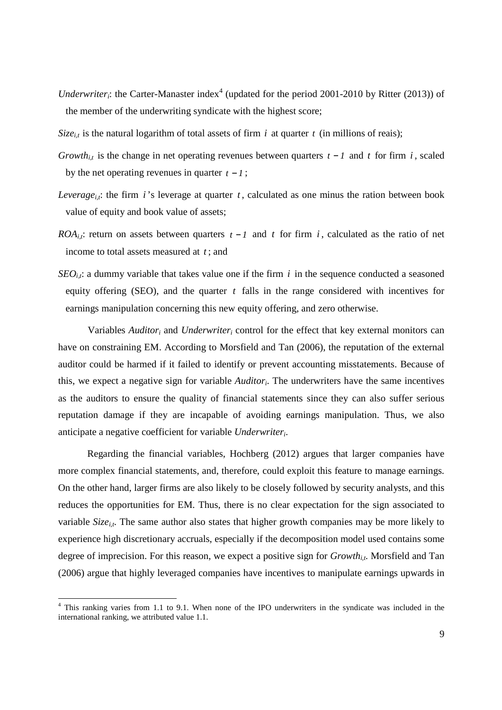- *Underwriter<sub>i</sub>*: the Carter-Manaster index<sup>4</sup> (updated for the period 2001-2010 by Ritter (2013)) of the member of the underwriting syndicate with the highest score;
- *Size*<sub>it</sub> is the natural logarithm of total assets of firm *i* at quarter *t* (in millions of reais);
- *Growth*<sub>it</sub> is the change in net operating revenues between quarters  $t 1$  and  $t$  for firm *i*, scaled by the net operating revenues in quarter  $t - 1$ ;
- *Leverage<sub>i,t</sub>*: the firm *i*'s leverage at quarter *t*, calculated as one minus the ration between book value of equity and book value of assets;
- *ROA*<sub>*i*,*t*</sub>: return on assets between quarters  $t 1$  and  $t$  for firm  $i$ , calculated as the ratio of net income to total assets measured at *t* ; and
- $\overline{SEO}_{i,t}$ : a dummy variable that takes value one if the firm *i* in the sequence conducted a seasoned equity offering (SEO), and the quarter *t* falls in the range considered with incentives for earnings manipulation concerning this new equity offering, and zero otherwise.

Variables *Auditor<sub>i</sub>* and *Underwriter<sub>i</sub>* control for the effect that key external monitors can have on constraining EM. According to Morsfield and Tan (2006), the reputation of the external auditor could be harmed if it failed to identify or prevent accounting misstatements. Because of this, we expect a negative sign for variable *Auditor<sup>i</sup>* . The underwriters have the same incentives as the auditors to ensure the quality of financial statements since they can also suffer serious reputation damage if they are incapable of avoiding earnings manipulation. Thus, we also anticipate a negative coefficient for variable *Underwriter<sup>i</sup>* .

Regarding the financial variables, Hochberg (2012) argues that larger companies have more complex financial statements, and, therefore, could exploit this feature to manage earnings. On the other hand, larger firms are also likely to be closely followed by security analysts, and this reduces the opportunities for EM. Thus, there is no clear expectation for the sign associated to variable  $Size<sub>i</sub>$ . The same author also states that higher growth companies may be more likely to experience high discretionary accruals, especially if the decomposition model used contains some degree of imprecision. For this reason, we expect a positive sign for *Growthi,t*. Morsfield and Tan (2006) argue that highly leveraged companies have incentives to manipulate earnings upwards in

 $\overline{a}$ 

<sup>&</sup>lt;sup>4</sup> This ranking varies from 1.1 to 9.1. When none of the IPO underwriters in the syndicate was included in the international ranking, we attributed value 1.1.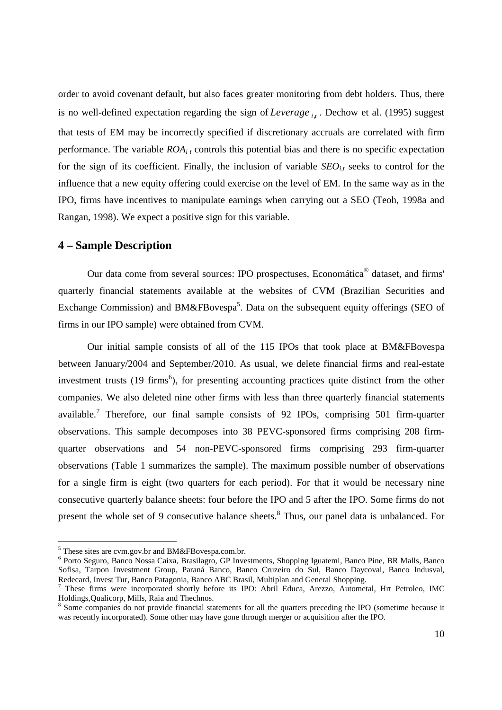order to avoid covenant default, but also faces greater monitoring from debt holders. Thus, there is no well-defined expectation regarding the sign of *Leverage*  $_{i,t}$ . Dechow et al. (1995) suggest that tests of EM may be incorrectly specified if discretionary accruals are correlated with firm performance. The variable  $ROA<sub>i t</sub>$  controls this potential bias and there is no specific expectation for the sign of its coefficient. Finally, the inclusion of variable  $\overline{SEO}_{it}$  seeks to control for the influence that a new equity offering could exercise on the level of EM. In the same way as in the IPO, firms have incentives to manipulate earnings when carrying out a SEO (Teoh, 1998a and Rangan, 1998). We expect a positive sign for this variable.

# **4 – Sample Description**

Our data come from several sources: IPO prospectuses, Economática<sup>®</sup> dataset, and firms' quarterly financial statements available at the websites of CVM (Brazilian Securities and Exchange Commission) and BM&FBovespa<sup>5</sup>. Data on the subsequent equity offerings (SEO of firms in our IPO sample) were obtained from CVM.

Our initial sample consists of all of the 115 IPOs that took place at BM&FBovespa between January/2004 and September/2010. As usual, we delete financial firms and real-estate investment trusts (19 firms<sup>6</sup>), for presenting accounting practices quite distinct from the other companies. We also deleted nine other firms with less than three quarterly financial statements available.<sup>7</sup> Therefore, our final sample consists of 92 IPOs, comprising 501 firm-quarter observations. This sample decomposes into 38 PEVC-sponsored firms comprising 208 firmquarter observations and 54 non-PEVC-sponsored firms comprising 293 firm-quarter observations (Table 1 summarizes the sample). The maximum possible number of observations for a single firm is eight (two quarters for each period). For that it would be necessary nine consecutive quarterly balance sheets: four before the IPO and 5 after the IPO. Some firms do not present the whole set of 9 consecutive balance sheets.<sup>8</sup> Thus, our panel data is unbalanced. For

<sup>&</sup>lt;sup>5</sup> These sites are cvm.gov.br and BM&FBovespa.com.br.

<sup>6</sup> Porto Seguro, Banco Nossa Caixa, Brasilagro, GP Investments, Shopping Iguatemi, Banco Pine, BR Malls, Banco Sofisa, Tarpon Investment Group, Paraná Banco, Banco Cruzeiro do Sul, Banco Daycoval, Banco Indusval, Redecard, Invest Tur, Banco Patagonia, Banco ABC Brasil, Multiplan and General Shopping.

<sup>&</sup>lt;sup>7</sup> These firms were incorporated shortly before its IPO: Abril Educa, Arezzo, Autometal, Hrt Petroleo, IMC Holdings,Qualicorp, Mills, Raia and Thechnos.

<sup>&</sup>lt;sup>8</sup> Some companies do not provide financial statements for all the quarters preceding the IPO (sometime because it was recently incorporated). Some other may have gone through merger or acquisition after the IPO.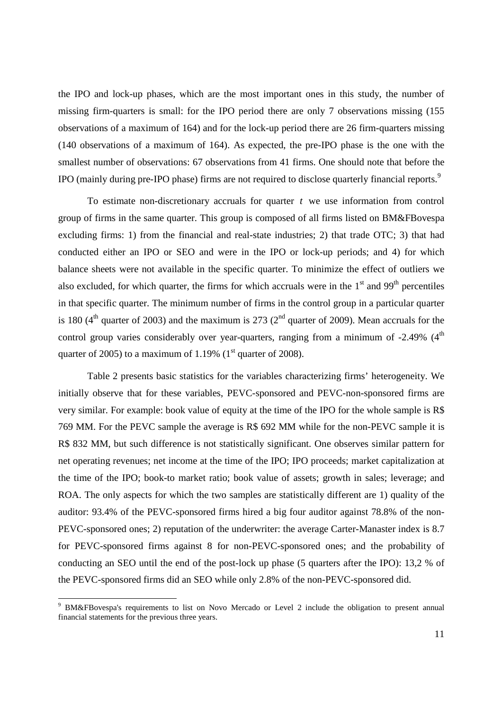the IPO and lock-up phases, which are the most important ones in this study, the number of missing firm-quarters is small: for the IPO period there are only 7 observations missing (155 observations of a maximum of 164) and for the lock-up period there are 26 firm-quarters missing (140 observations of a maximum of 164). As expected, the pre-IPO phase is the one with the smallest number of observations: 67 observations from 41 firms. One should note that before the IPO (mainly during pre-IPO phase) firms are not required to disclose quarterly financial reports.<sup>9</sup>

To estimate non-discretionary accruals for quarter *t* we use information from control group of firms in the same quarter. This group is composed of all firms listed on BM&FBovespa excluding firms: 1) from the financial and real-state industries; 2) that trade OTC; 3) that had conducted either an IPO or SEO and were in the IPO or lock-up periods; and 4) for which balance sheets were not available in the specific quarter. To minimize the effect of outliers we also excluded, for which quarter, the firms for which accruals were in the  $1<sup>st</sup>$  and 99<sup>th</sup> percentiles in that specific quarter. The minimum number of firms in the control group in a particular quarter is 180 ( $4<sup>th</sup>$  quarter of 2003) and the maximum is 273 ( $2<sup>nd</sup>$  quarter of 2009). Mean accruals for the control group varies considerably over year-quarters, ranging from a minimum of  $-2.49\%$  (4<sup>th</sup>) quarter of 2005) to a maximum of 1.19% ( $1<sup>st</sup>$  quarter of 2008).

Table 2 presents basic statistics for the variables characterizing firms' heterogeneity. We initially observe that for these variables, PEVC-sponsored and PEVC-non-sponsored firms are very similar. For example: book value of equity at the time of the IPO for the whole sample is R\$ 769 MM. For the PEVC sample the average is R\$ 692 MM while for the non-PEVC sample it is R\$ 832 MM, but such difference is not statistically significant. One observes similar pattern for net operating revenues; net income at the time of the IPO; IPO proceeds; market capitalization at the time of the IPO; book-to market ratio; book value of assets; growth in sales; leverage; and ROA. The only aspects for which the two samples are statistically different are 1) quality of the auditor: 93.4% of the PEVC-sponsored firms hired a big four auditor against 78.8% of the non-PEVC-sponsored ones; 2) reputation of the underwriter: the average Carter-Manaster index is 8.7 for PEVC-sponsored firms against 8 for non-PEVC-sponsored ones; and the probability of conducting an SEO until the end of the post-lock up phase (5 quarters after the IPO): 13,2 % of the PEVC-sponsored firms did an SEO while only 2.8% of the non-PEVC-sponsored did.

<sup>&</sup>lt;sup>9</sup> BM&FBovespa's requirements to list on Novo Mercado or Level 2 include the obligation to present annual financial statements for the previous three years.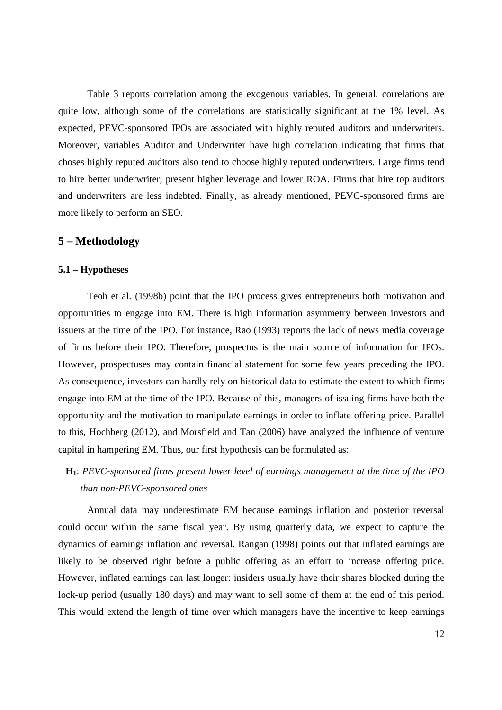Table 3 reports correlation among the exogenous variables. In general, correlations are quite low, although some of the correlations are statistically significant at the 1% level. As expected, PEVC-sponsored IPOs are associated with highly reputed auditors and underwriters. Moreover, variables Auditor and Underwriter have high correlation indicating that firms that choses highly reputed auditors also tend to choose highly reputed underwriters. Large firms tend to hire better underwriter, present higher leverage and lower ROA. Firms that hire top auditors and underwriters are less indebted. Finally, as already mentioned, PEVC-sponsored firms are more likely to perform an SEO.

# **5 – Methodology**

#### **5.1 – Hypotheses**

Teoh et al. (1998b) point that the IPO process gives entrepreneurs both motivation and opportunities to engage into EM. There is high information asymmetry between investors and issuers at the time of the IPO. For instance, Rao (1993) reports the lack of news media coverage of firms before their IPO. Therefore, prospectus is the main source of information for IPOs. However, prospectuses may contain financial statement for some few years preceding the IPO. As consequence, investors can hardly rely on historical data to estimate the extent to which firms engage into EM at the time of the IPO. Because of this, managers of issuing firms have both the opportunity and the motivation to manipulate earnings in order to inflate offering price. Parallel to this, Hochberg (2012), and Morsfield and Tan (2006) have analyzed the influence of venture capital in hampering EM. Thus, our first hypothesis can be formulated as:

# **H1**: *PEVC-sponsored firms present lower level of earnings management at the time of the IPO than non-PEVC-sponsored ones*

Annual data may underestimate EM because earnings inflation and posterior reversal could occur within the same fiscal year. By using quarterly data, we expect to capture the dynamics of earnings inflation and reversal. Rangan (1998) points out that inflated earnings are likely to be observed right before a public offering as an effort to increase offering price. However, inflated earnings can last longer: insiders usually have their shares blocked during the lock-up period (usually 180 days) and may want to sell some of them at the end of this period. This would extend the length of time over which managers have the incentive to keep earnings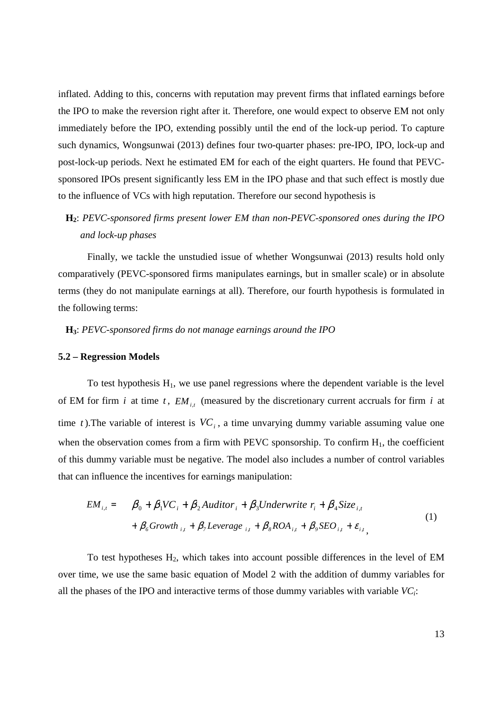inflated. Adding to this, concerns with reputation may prevent firms that inflated earnings before the IPO to make the reversion right after it. Therefore, one would expect to observe EM not only immediately before the IPO, extending possibly until the end of the lock-up period. To capture such dynamics, Wongsunwai (2013) defines four two-quarter phases: pre-IPO, IPO, lock-up and post-lock-up periods. Next he estimated EM for each of the eight quarters. He found that PEVCsponsored IPOs present significantly less EM in the IPO phase and that such effect is mostly due to the influence of VCs with high reputation. Therefore our second hypothesis is

# **H2**: *PEVC-sponsored firms present lower EM than non-PEVC-sponsored ones during the IPO and lock-up phases*

Finally, we tackle the unstudied issue of whether Wongsunwai (2013) results hold only comparatively (PEVC-sponsored firms manipulates earnings, but in smaller scale) or in absolute terms (they do not manipulate earnings at all). Therefore, our fourth hypothesis is formulated in the following terms:

**H3**: *PEVC-sponsored firms do not manage earnings around the IPO* 

#### **5.2 – Regression Models**

To test hypothesis  $H_1$ , we use panel regressions where the dependent variable is the level of EM for firm *i* at time *t*,  $EM_{i,t}$  (measured by the discretionary current accruals for firm *i* at time *t* ).The variable of interest is *VC<sup>i</sup>* , a time unvarying dummy variable assuming value one when the observation comes from a firm with PEVC sponsorship. To confirm  $H_1$ , the coefficient of this dummy variable must be negative. The model also includes a number of control variables that can influence the incentives for earnings manipulation:

$$
EM_{i,t} = \beta_0 + \beta_1 VC_i + \beta_2 Auditor_i + \beta_3 Underwrite \ r_i + \beta_4 Size_{i,t} + \beta_6 Growth_{i,t} + \beta_7 Leverage_{i,t} + \beta_8 ROA_{i,t} + \beta_9 SEO_{i,t} + \varepsilon_{i,t},
$$
\n(1)

To test hypotheses  $H_2$ , which takes into account possible differences in the level of EM over time, we use the same basic equation of Model 2 with the addition of dummy variables for all the phases of the IPO and interactive terms of those dummy variables with variable *VCi*: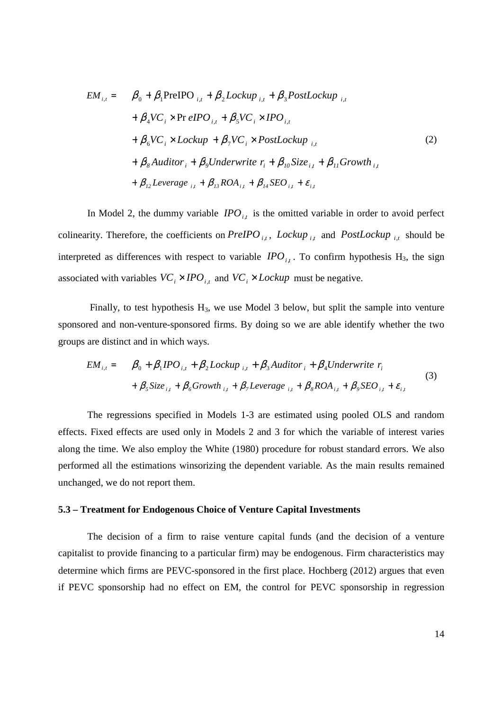$$
EM_{i,t} = \beta_0 + \beta_1 \text{PreIPO}_{i,t} + \beta_2 \text{Lockup}_{i,t} + \beta_3 \text{PostLockup}_{i,t} + \beta_4 VC_i \times \text{Pr} e \text{IPO}_{i,t} + \beta_5 VC_i \times \text{IPO}_{i,t} + \beta_6 VC_i \times \text{Lockup} + \beta_7 VC_i \times \text{PostLockup}_{i,t} + \beta_8 \text{Additor}_i + \beta_9 \text{Underwrite } r_i + \beta_{10} \text{Size}_{i,t} + \beta_{11} \text{Growth}_{i,t} + \beta_{12} \text{Leverage } {}_{i,t} + \beta_{13} \text{ROA}_{i,t} + \beta_{14} \text{SEO}_{i,t} + \varepsilon_{i,t}
$$
\n(2)

In Model 2, the dummy variable  $\text{IPO}_{i,t}$  is the omitted variable in order to avoid perfect colinearity. Therefore, the coefficients on  $PreIPO_{i,t}$ ,  $Lockup_{i,t}$  and  $PostLockup_{i,t}$  should be interpreted as differences with respect to variable  $\text{IPO}_{i,t}$ . To confirm hypothesis H<sub>3</sub>, the sign associated with variables  $VC_i \times IPO_{i,t}$  and  $VC_i \times Lockup$  must be negative.

 Finally, to test hypothesis H3, we use Model 3 below, but split the sample into venture sponsored and non-venture-sponsored firms. By doing so we are able identify whether the two groups are distinct and in which ways.

$$
EM_{i,t} = \beta_0 + \beta_1 IPO_{i,t} + \beta_2 Lockup_{i,t} + \beta_3 Auditor_i + \beta_4 Underwrite_{i} + \beta_5 Size_{i,t} + \beta_6 Growth_{i,t} + \beta_7 Leverage_{i,t} + \beta_8 ROA_{i,t} + \beta_9 SEO_{i,t} + \varepsilon_{i,t}
$$
\n(3)

The regressions specified in Models 1-3 are estimated using pooled OLS and random effects. Fixed effects are used only in Models 2 and 3 for which the variable of interest varies along the time. We also employ the White (1980) procedure for robust standard errors. We also performed all the estimations winsorizing the dependent variable. As the main results remained unchanged, we do not report them.

#### **5.3 – Treatment for Endogenous Choice of Venture Capital Investments**

The decision of a firm to raise venture capital funds (and the decision of a venture capitalist to provide financing to a particular firm) may be endogenous. Firm characteristics may determine which firms are PEVC-sponsored in the first place. Hochberg (2012) argues that even if PEVC sponsorship had no effect on EM, the control for PEVC sponsorship in regression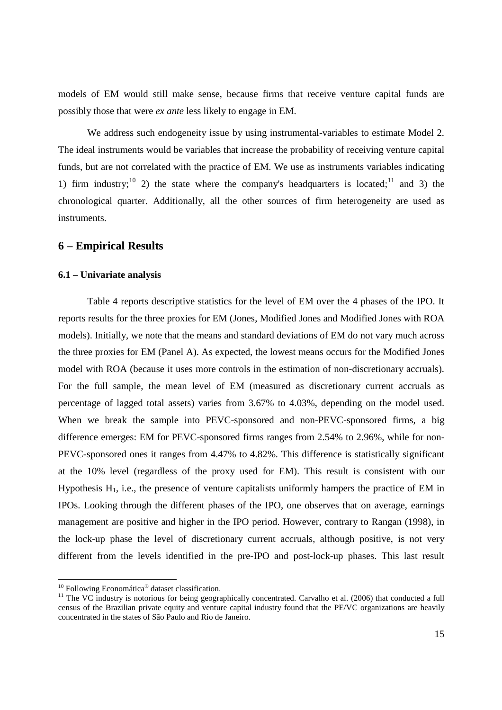models of EM would still make sense, because firms that receive venture capital funds are possibly those that were *ex ante* less likely to engage in EM.

We address such endogeneity issue by using instrumental-variables to estimate Model 2. The ideal instruments would be variables that increase the probability of receiving venture capital funds, but are not correlated with the practice of EM. We use as instruments variables indicating 1) firm industry;<sup>10</sup> 2) the state where the company's headquarters is located;<sup>11</sup> and 3) the chronological quarter. Additionally, all the other sources of firm heterogeneity are used as instruments.

## **6 – Empirical Results**

#### **6.1 – Univariate analysis**

Table 4 reports descriptive statistics for the level of EM over the 4 phases of the IPO. It reports results for the three proxies for EM (Jones, Modified Jones and Modified Jones with ROA models). Initially, we note that the means and standard deviations of EM do not vary much across the three proxies for EM (Panel A). As expected, the lowest means occurs for the Modified Jones model with ROA (because it uses more controls in the estimation of non-discretionary accruals). For the full sample, the mean level of EM (measured as discretionary current accruals as percentage of lagged total assets) varies from 3.67% to 4.03%, depending on the model used. When we break the sample into PEVC-sponsored and non-PEVC-sponsored firms, a big difference emerges: EM for PEVC-sponsored firms ranges from 2.54% to 2.96%, while for non-PEVC-sponsored ones it ranges from 4.47% to 4.82%. This difference is statistically significant at the 10% level (regardless of the proxy used for EM). This result is consistent with our Hypothesis  $H_1$ , i.e., the presence of venture capitalists uniformly hampers the practice of EM in IPOs. Looking through the different phases of the IPO, one observes that on average, earnings management are positive and higher in the IPO period. However, contrary to Rangan (1998), in the lock-up phase the level of discretionary current accruals, although positive, is not very different from the levels identified in the pre-IPO and post-lock-up phases. This last result

 $\overline{a}$ 

 $10$  Following Economática<sup>®</sup> dataset classification.

<sup>&</sup>lt;sup>11</sup> The VC industry is notorious for being geographically concentrated. Carvalho et al. (2006) that conducted a full census of the Brazilian private equity and venture capital industry found that the PE/VC organizations are heavily concentrated in the states of São Paulo and Rio de Janeiro.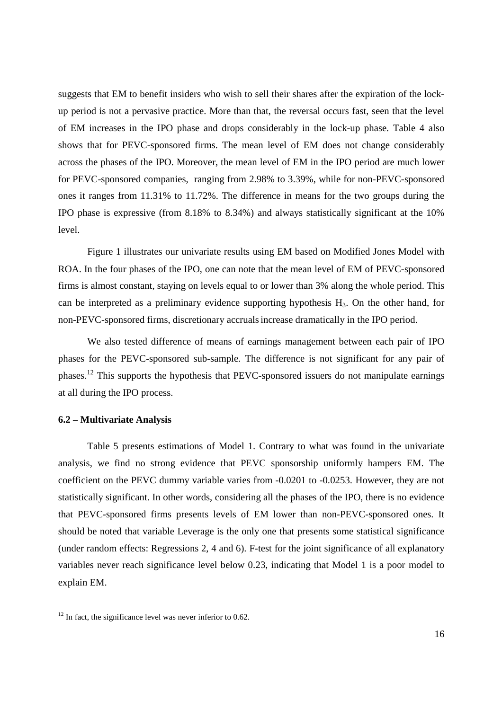suggests that EM to benefit insiders who wish to sell their shares after the expiration of the lockup period is not a pervasive practice. More than that, the reversal occurs fast, seen that the level of EM increases in the IPO phase and drops considerably in the lock-up phase. Table 4 also shows that for PEVC-sponsored firms. The mean level of EM does not change considerably across the phases of the IPO. Moreover, the mean level of EM in the IPO period are much lower for PEVC-sponsored companies, ranging from 2.98% to 3.39%, while for non-PEVC-sponsored ones it ranges from 11.31% to 11.72%. The difference in means for the two groups during the IPO phase is expressive (from 8.18% to 8.34%) and always statistically significant at the 10% level.

Figure 1 illustrates our univariate results using EM based on Modified Jones Model with ROA. In the four phases of the IPO, one can note that the mean level of EM of PEVC-sponsored firms is almost constant, staying on levels equal to or lower than 3% along the whole period. This can be interpreted as a preliminary evidence supporting hypothesis H3. On the other hand, for non-PEVC-sponsored firms, discretionary accrualsincrease dramatically in the IPO period.

We also tested difference of means of earnings management between each pair of IPO phases for the PEVC-sponsored sub-sample. The difference is not significant for any pair of phases.<sup>12</sup> This supports the hypothesis that PEVC-sponsored issuers do not manipulate earnings at all during the IPO process.

## **6.2 – Multivariate Analysis**

 $\overline{a}$ 

 Table 5 presents estimations of Model 1. Contrary to what was found in the univariate analysis, we find no strong evidence that PEVC sponsorship uniformly hampers EM. The coefficient on the PEVC dummy variable varies from -0.0201 to -0.0253. However, they are not statistically significant. In other words, considering all the phases of the IPO, there is no evidence that PEVC-sponsored firms presents levels of EM lower than non-PEVC-sponsored ones. It should be noted that variable Leverage is the only one that presents some statistical significance (under random effects: Regressions 2, 4 and 6). F-test for the joint significance of all explanatory variables never reach significance level below 0.23, indicating that Model 1 is a poor model to explain EM.

 $12$  In fact, the significance level was never inferior to 0.62.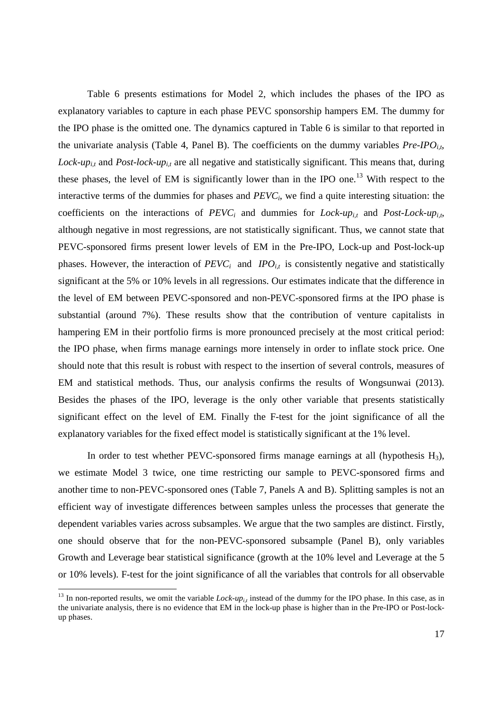Table 6 presents estimations for Model 2, which includes the phases of the IPO as explanatory variables to capture in each phase PEVC sponsorship hampers EM. The dummy for the IPO phase is the omitted one. The dynamics captured in Table 6 is similar to that reported in the univariate analysis (Table 4, Panel B). The coefficients on the dummy variables *Pre-IPOi,t*, *Lock-up*<sub>*i,t*</sub> and *Post-lock-up*<sub>*i,t*</sub> are all negative and statistically significant. This means that, during these phases, the level of EM is significantly lower than in the IPO one.<sup>13</sup> With respect to the interactive terms of the dummies for phases and *PEVC<sup>i</sup>* , we find a quite interesting situation: the coefficients on the interactions of  $PEVC_i$  and dummies for *Lock-up*<sub>*i,t*</sub> and *Post-Lock-up<sub><i>i,t*</sub></sub> although negative in most regressions, are not statistically significant. Thus, we cannot state that PEVC-sponsored firms present lower levels of EM in the Pre-IPO, Lock-up and Post-lock-up phases. However, the interaction of  $PEVC_i$  and  $IPO_{i,t}$  is consistently negative and statistically significant at the 5% or 10% levels in all regressions. Our estimates indicate that the difference in the level of EM between PEVC-sponsored and non-PEVC-sponsored firms at the IPO phase is substantial (around 7%). These results show that the contribution of venture capitalists in hampering EM in their portfolio firms is more pronounced precisely at the most critical period: the IPO phase, when firms manage earnings more intensely in order to inflate stock price. One should note that this result is robust with respect to the insertion of several controls, measures of EM and statistical methods. Thus, our analysis confirms the results of Wongsunwai (2013). Besides the phases of the IPO, leverage is the only other variable that presents statistically significant effect on the level of EM. Finally the F-test for the joint significance of all the explanatory variables for the fixed effect model is statistically significant at the 1% level.

In order to test whether PEVC-sponsored firms manage earnings at all (hypothesis  $H_3$ ), we estimate Model 3 twice, one time restricting our sample to PEVC-sponsored firms and another time to non-PEVC-sponsored ones (Table 7, Panels A and B). Splitting samples is not an efficient way of investigate differences between samples unless the processes that generate the dependent variables varies across subsamples. We argue that the two samples are distinct. Firstly, one should observe that for the non-PEVC-sponsored subsample (Panel B), only variables Growth and Leverage bear statistical significance (growth at the 10% level and Leverage at the 5 or 10% levels). F-test for the joint significance of all the variables that controls for all observable

 $\overline{a}$ 

<sup>&</sup>lt;sup>13</sup> In non-reported results, we omit the variable *Lock-up*<sub>*i,t*</sub> instead of the dummy for the IPO phase. In this case, as in the univariate analysis, there is no evidence that EM in the lock-up phase is higher than in the Pre-IPO or Post-lockup phases.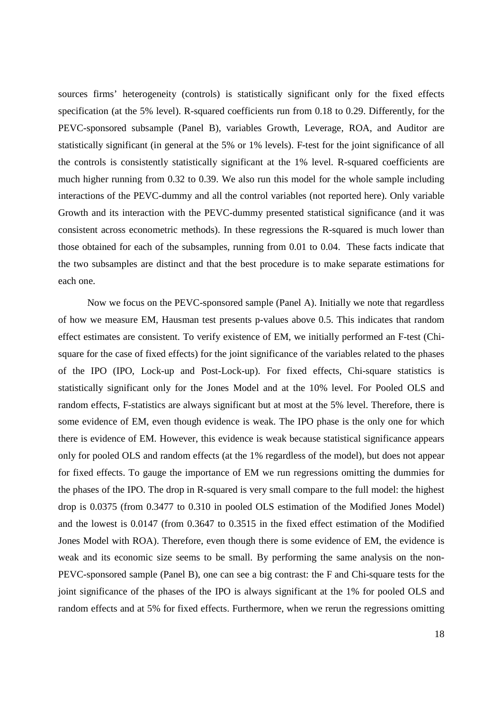sources firms' heterogeneity (controls) is statistically significant only for the fixed effects specification (at the 5% level). R-squared coefficients run from 0.18 to 0.29. Differently, for the PEVC-sponsored subsample (Panel B), variables Growth, Leverage, ROA, and Auditor are statistically significant (in general at the 5% or 1% levels). F-test for the joint significance of all the controls is consistently statistically significant at the 1% level. R-squared coefficients are much higher running from 0.32 to 0.39. We also run this model for the whole sample including interactions of the PEVC-dummy and all the control variables (not reported here). Only variable Growth and its interaction with the PEVC-dummy presented statistical significance (and it was consistent across econometric methods). In these regressions the R-squared is much lower than those obtained for each of the subsamples, running from 0.01 to 0.04. These facts indicate that the two subsamples are distinct and that the best procedure is to make separate estimations for each one.

 Now we focus on the PEVC-sponsored sample (Panel A). Initially we note that regardless of how we measure EM, Hausman test presents p-values above 0.5. This indicates that random effect estimates are consistent. To verify existence of EM, we initially performed an F-test (Chisquare for the case of fixed effects) for the joint significance of the variables related to the phases of the IPO (IPO, Lock-up and Post-Lock-up). For fixed effects, Chi-square statistics is statistically significant only for the Jones Model and at the 10% level. For Pooled OLS and random effects, F-statistics are always significant but at most at the 5% level. Therefore, there is some evidence of EM, even though evidence is weak. The IPO phase is the only one for which there is evidence of EM. However, this evidence is weak because statistical significance appears only for pooled OLS and random effects (at the 1% regardless of the model), but does not appear for fixed effects. To gauge the importance of EM we run regressions omitting the dummies for the phases of the IPO. The drop in R-squared is very small compare to the full model: the highest drop is 0.0375 (from 0.3477 to 0.310 in pooled OLS estimation of the Modified Jones Model) and the lowest is 0.0147 (from 0.3647 to 0.3515 in the fixed effect estimation of the Modified Jones Model with ROA). Therefore, even though there is some evidence of EM, the evidence is weak and its economic size seems to be small. By performing the same analysis on the non-PEVC-sponsored sample (Panel B), one can see a big contrast: the F and Chi-square tests for the joint significance of the phases of the IPO is always significant at the 1% for pooled OLS and random effects and at 5% for fixed effects. Furthermore, when we rerun the regressions omitting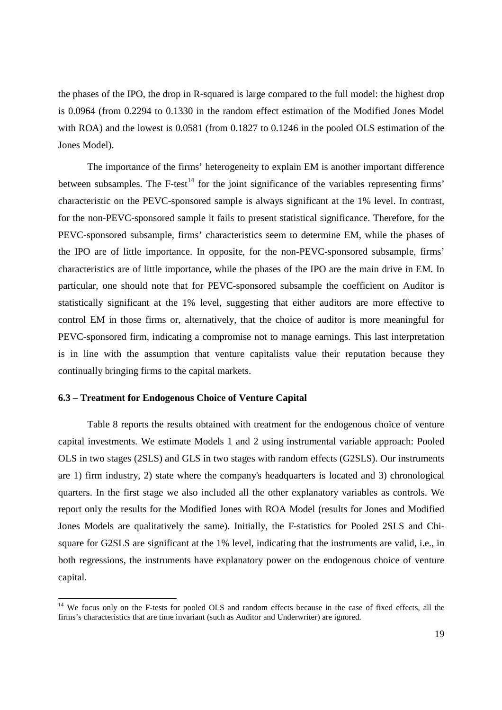the phases of the IPO, the drop in R-squared is large compared to the full model: the highest drop is 0.0964 (from 0.2294 to 0.1330 in the random effect estimation of the Modified Jones Model with ROA) and the lowest is 0.0581 (from 0.1827 to 0.1246 in the pooled OLS estimation of the Jones Model).

 The importance of the firms' heterogeneity to explain EM is another important difference between subsamples. The  $F$ -test<sup>14</sup> for the joint significance of the variables representing firms' characteristic on the PEVC-sponsored sample is always significant at the 1% level. In contrast, for the non-PEVC-sponsored sample it fails to present statistical significance. Therefore, for the PEVC-sponsored subsample, firms' characteristics seem to determine EM, while the phases of the IPO are of little importance. In opposite, for the non-PEVC-sponsored subsample, firms' characteristics are of little importance, while the phases of the IPO are the main drive in EM. In particular, one should note that for PEVC-sponsored subsample the coefficient on Auditor is statistically significant at the 1% level, suggesting that either auditors are more effective to control EM in those firms or, alternatively, that the choice of auditor is more meaningful for PEVC-sponsored firm, indicating a compromise not to manage earnings. This last interpretation is in line with the assumption that venture capitalists value their reputation because they continually bringing firms to the capital markets.

### **6.3 – Treatment for Endogenous Choice of Venture Capital**

 $\overline{a}$ 

 Table 8 reports the results obtained with treatment for the endogenous choice of venture capital investments. We estimate Models 1 and 2 using instrumental variable approach: Pooled OLS in two stages (2SLS) and GLS in two stages with random effects (G2SLS). Our instruments are 1) firm industry, 2) state where the company's headquarters is located and 3) chronological quarters. In the first stage we also included all the other explanatory variables as controls. We report only the results for the Modified Jones with ROA Model (results for Jones and Modified Jones Models are qualitatively the same). Initially, the F-statistics for Pooled 2SLS and Chisquare for G2SLS are significant at the 1% level, indicating that the instruments are valid, i.e., in both regressions, the instruments have explanatory power on the endogenous choice of venture capital.

<sup>&</sup>lt;sup>14</sup> We focus only on the F-tests for pooled OLS and random effects because in the case of fixed effects, all the firms's characteristics that are time invariant (such as Auditor and Underwriter) are ignored.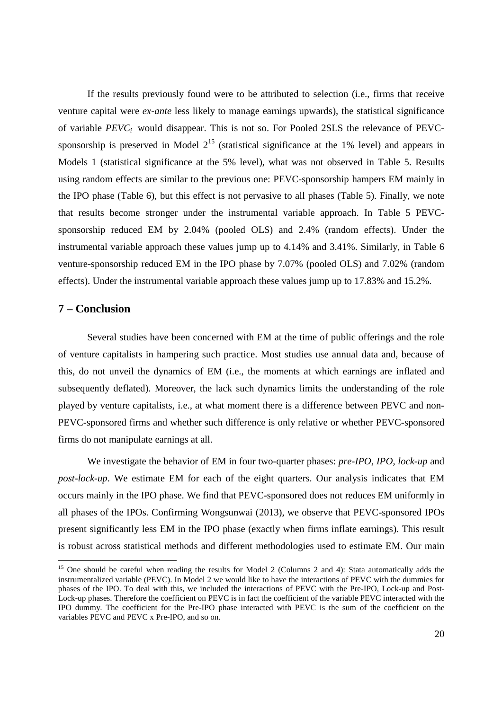If the results previously found were to be attributed to selection (i.e., firms that receive venture capital were *ex-ante* less likely to manage earnings upwards), the statistical significance of variable *PEVCi* would disappear. This is not so. For Pooled 2SLS the relevance of PEVCsponsorship is preserved in Model  $2^{15}$  (statistical significance at the 1% level) and appears in Models 1 (statistical significance at the 5% level), what was not observed in Table 5. Results using random effects are similar to the previous one: PEVC-sponsorship hampers EM mainly in the IPO phase (Table 6), but this effect is not pervasive to all phases (Table 5). Finally, we note that results become stronger under the instrumental variable approach. In Table 5 PEVCsponsorship reduced EM by 2.04% (pooled OLS) and 2.4% (random effects). Under the instrumental variable approach these values jump up to 4.14% and 3.41%. Similarly, in Table 6 venture-sponsorship reduced EM in the IPO phase by 7.07% (pooled OLS) and 7.02% (random effects). Under the instrumental variable approach these values jump up to 17.83% and 15.2%.

# **7 – Conclusion**

 $\overline{a}$ 

 Several studies have been concerned with EM at the time of public offerings and the role of venture capitalists in hampering such practice. Most studies use annual data and, because of this, do not unveil the dynamics of EM (i.e., the moments at which earnings are inflated and subsequently deflated). Moreover, the lack such dynamics limits the understanding of the role played by venture capitalists, i.e., at what moment there is a difference between PEVC and non-PEVC-sponsored firms and whether such difference is only relative or whether PEVC-sponsored firms do not manipulate earnings at all.

 We investigate the behavior of EM in four two-quarter phases: *pre-IPO*, *IPO*, *lock-up* and *post-lock-up*. We estimate EM for each of the eight quarters. Our analysis indicates that EM occurs mainly in the IPO phase. We find that PEVC-sponsored does not reduces EM uniformly in all phases of the IPOs. Confirming Wongsunwai (2013), we observe that PEVC-sponsored IPOs present significantly less EM in the IPO phase (exactly when firms inflate earnings). This result is robust across statistical methods and different methodologies used to estimate EM. Our main

<sup>&</sup>lt;sup>15</sup> One should be careful when reading the results for Model 2 (Columns 2 and 4): Stata automatically adds the instrumentalized variable (PEVC). In Model 2 we would like to have the interactions of PEVC with the dummies for phases of the IPO. To deal with this, we included the interactions of PEVC with the Pre-IPO, Lock-up and Post-Lock-up phases. Therefore the coefficient on PEVC is in fact the coefficient of the variable PEVC interacted with the IPO dummy. The coefficient for the Pre-IPO phase interacted with PEVC is the sum of the coefficient on the variables PEVC and PEVC x Pre-IPO, and so on.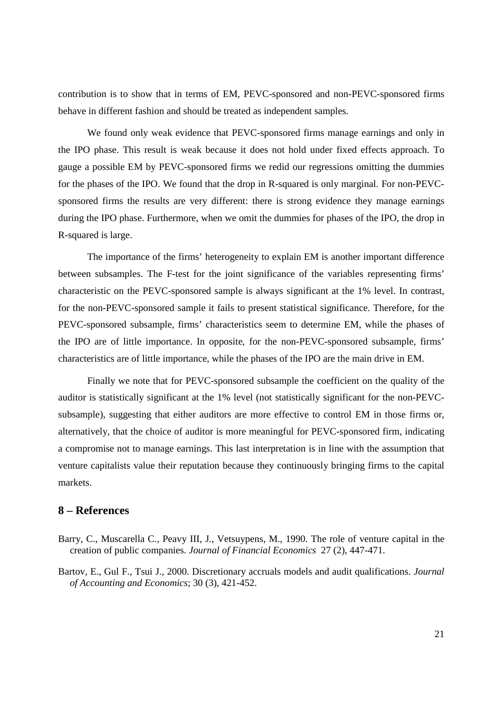contribution is to show that in terms of EM, PEVC-sponsored and non-PEVC-sponsored firms behave in different fashion and should be treated as independent samples.

We found only weak evidence that PEVC-sponsored firms manage earnings and only in the IPO phase. This result is weak because it does not hold under fixed effects approach. To gauge a possible EM by PEVC-sponsored firms we redid our regressions omitting the dummies for the phases of the IPO. We found that the drop in R-squared is only marginal. For non-PEVCsponsored firms the results are very different: there is strong evidence they manage earnings during the IPO phase. Furthermore, when we omit the dummies for phases of the IPO, the drop in R-squared is large.

 The importance of the firms' heterogeneity to explain EM is another important difference between subsamples. The F-test for the joint significance of the variables representing firms' characteristic on the PEVC-sponsored sample is always significant at the 1% level. In contrast, for the non-PEVC-sponsored sample it fails to present statistical significance. Therefore, for the PEVC-sponsored subsample, firms' characteristics seem to determine EM, while the phases of the IPO are of little importance. In opposite, for the non-PEVC-sponsored subsample, firms' characteristics are of little importance, while the phases of the IPO are the main drive in EM.

 Finally we note that for PEVC-sponsored subsample the coefficient on the quality of the auditor is statistically significant at the 1% level (not statistically significant for the non-PEVCsubsample), suggesting that either auditors are more effective to control EM in those firms or, alternatively, that the choice of auditor is more meaningful for PEVC-sponsored firm, indicating a compromise not to manage earnings. This last interpretation is in line with the assumption that venture capitalists value their reputation because they continuously bringing firms to the capital markets.

## **8 – References**

- Barry, C., Muscarella C., Peavy III, J., Vetsuypens, M., 1990. The role of venture capital in the creation of public companies. *Journal of Financial Economics* 27 (2), 447-471.
- Bartov, E., Gul F., Tsui J., 2000. Discretionary accruals models and audit qualifications. *Journal of Accounting and Economics*; 30 (3), 421-452.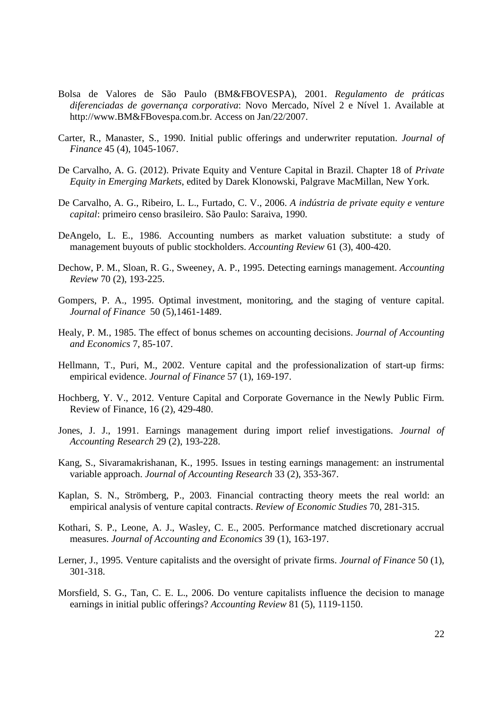- Bolsa de Valores de São Paulo (BM&FBOVESPA), 2001. *Regulamento de práticas diferenciadas de governança corporativa*: Novo Mercado, Nível 2 e Nível 1. Available at http://www.BM&FBovespa.com.br. Access on Jan/22/2007.
- Carter, R., Manaster, S., 1990. Initial public offerings and underwriter reputation. *Journal of Finance* 45 (4), 1045-1067.
- De Carvalho, A. G. (2012). Private Equity and Venture Capital in Brazil. Chapter 18 of *Private Equity in Emerging Markets*, edited by Darek Klonowski, Palgrave MacMillan, New York.
- De Carvalho, A. G., Ribeiro, L. L., Furtado, C. V., 2006. *A indústria de private equity e venture capital*: primeiro censo brasileiro. São Paulo: Saraiva, 1990.
- DeAngelo, L. E., 1986. Accounting numbers as market valuation substitute: a study of management buyouts of public stockholders. *Accounting Review* 61 (3), 400-420.
- Dechow, P. M., Sloan, R. G., Sweeney, A. P., 1995. Detecting earnings management. *Accounting Review* 70 (2), 193-225.
- Gompers, P. A., 1995. Optimal investment, monitoring, and the staging of venture capital. *Journal of Finance* 50 (5),1461-1489.
- Healy, P. M., 1985. The effect of bonus schemes on accounting decisions. *Journal of Accounting and Economics* 7, 85-107.
- Hellmann, T., Puri, M., 2002. Venture capital and the professionalization of start-up firms: empirical evidence. *Journal of Finance* 57 (1), 169-197.
- Hochberg, Y. V., 2012. Venture Capital and Corporate Governance in the Newly Public Firm. Review of Finance, 16 (2), 429-480.
- Jones, J. J., 1991. Earnings management during import relief investigations. *Journal of Accounting Research* 29 (2), 193-228.
- Kang, S., Sivaramakrishanan, K., 1995. Issues in testing earnings management: an instrumental variable approach. *Journal of Accounting Research* 33 (2), 353-367.
- Kaplan, S. N., Strömberg, P., 2003. Financial contracting theory meets the real world: an empirical analysis of venture capital contracts. *Review of Economic Studies* 70, 281-315.
- Kothari, S. P., Leone, A. J., Wasley, C. E., 2005. Performance matched discretionary accrual measures. *Journal of Accounting and Economics* 39 (1), 163-197.
- Lerner, J., 1995. Venture capitalists and the oversight of private firms. *Journal of Finance* 50 (1), 301-318.
- Morsfield, S. G., Tan, C. E. L., 2006. Do venture capitalists influence the decision to manage earnings in initial public offerings? *Accounting Review* 81 (5), 1119-1150.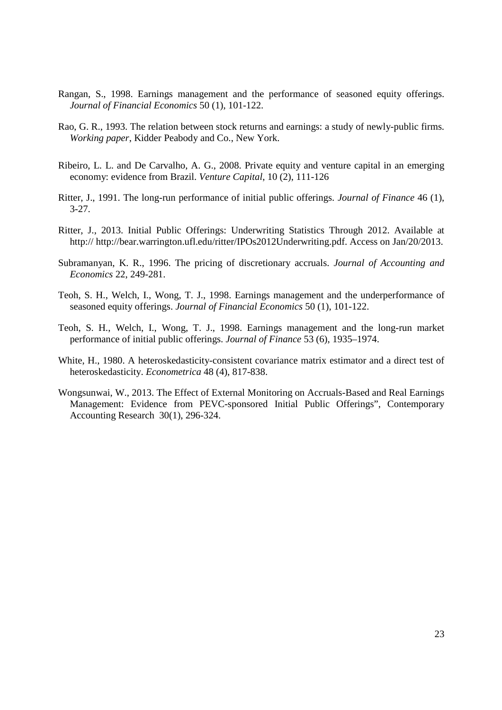- Rangan, S., 1998. Earnings management and the performance of seasoned equity offerings. *Journal of Financial Economics* 50 (1), 101-122.
- Rao, G. R., 1993. The relation between stock returns and earnings: a study of newly-public firms. *Working paper*, Kidder Peabody and Co., New York.
- Ribeiro, L. L. and De Carvalho, A. G., 2008. Private equity and venture capital in an emerging economy: evidence from Brazil. *Venture Capital*, 10 (2), 111-126
- Ritter, J., 1991. The long-run performance of initial public offerings. *Journal of Finance* 46 (1), 3-27.
- Ritter, J., 2013. Initial Public Offerings: Underwriting Statistics Through 2012. Available at http:// http://bear.warrington.ufl.edu/ritter/IPOs2012Underwriting.pdf. Access on Jan/20/2013.
- Subramanyan, K. R., 1996. The pricing of discretionary accruals. *Journal of Accounting and Economics* 22, 249-281.
- Teoh, S. H., Welch, I., Wong, T. J., 1998. Earnings management and the underperformance of seasoned equity offerings. *Journal of Financial Economics* 50 (1), 101-122.
- Teoh, S. H., Welch, I., Wong, T. J., 1998. Earnings management and the long-run market performance of initial public offerings. *Journal of Finance* 53 (6), 1935–1974.
- White, H., 1980. A heteroskedasticity-consistent covariance matrix estimator and a direct test of heteroskedasticity. *Econometrica* 48 (4), 817-838.
- Wongsunwai, W., 2013. The Effect of External Monitoring on Accruals-Based and Real Earnings Management: Evidence from PEVC-sponsored Initial Public Offerings", Contemporary Accounting Research 30(1), 296-324.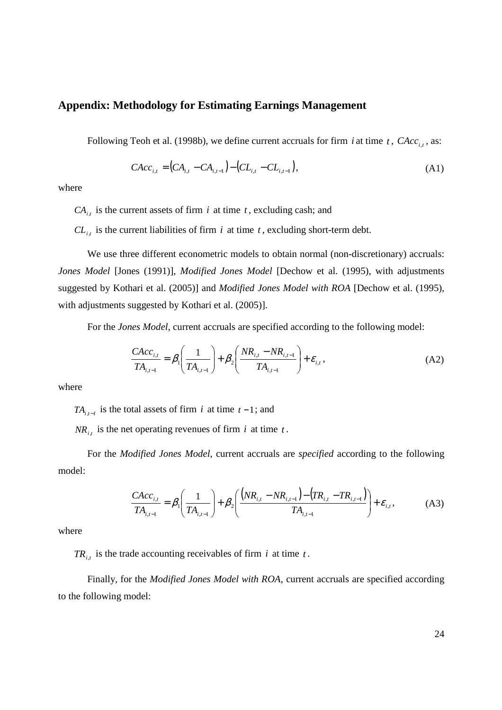## **Appendix: Methodology for Estimating Earnings Management**

Following Teoh et al. (1998b), we define current accruals for firm *i* at time *t*,  $CAcc_{i,t}$ , as:

$$
CAcc_{i,t} = (CA_{i,t} - CA_{i,t-1}) - (CL_{i,t} - CL_{i,t-1}),
$$
\n(A1)

where

 $CA_{i,t}$  is the current assets of firm *i* at time *t*, excluding cash; and

 $CL_{i,t}$  is the current liabilities of firm *i* at time *t*, excluding short-term debt.

We use three different econometric models to obtain normal (non-discretionary) accruals: *Jones Model* [Jones (1991)], *Modified Jones Model* [Dechow et al. (1995), with adjustments suggested by Kothari et al. (2005)] and *Modified Jones Model with ROA* [Dechow et al. (1995), with adjustments suggested by Kothari et al. (2005)].

For the *Jones Model*, current accruals are specified according to the following model:

$$
\frac{CAcc_{i,t}}{TA_{i,t-1}} = \beta_1 \left( \frac{1}{TA_{i,t-1}} \right) + \beta_2 \left( \frac{NR_{i,t} - NR_{i,t-1}}{TA_{i,t-1}} \right) + \varepsilon_{i,t},
$$
\n(A2)

where

*TA*<sub>*i*, $t-1$ </sub> is the total assets of firm *i* at time  $t-1$ ; and

 $NR_{i,t}$  is the net operating revenues of firm *i* at time *t*.

 For the *Modified Jones Model*, current accruals are *specified* according to the following model:

$$
\frac{CAcc_{i,t}}{TA_{i,t-1}} = \beta_1 \left(\frac{1}{TA_{i,t-1}}\right) + \beta_2 \left(\frac{\left(NR_{i,t} - NR_{i,t-1}\right) - \left(TR_{i,t} - TR_{i,t-1}\right)}{TA_{i,t-1}}\right) + \varepsilon_{i,t},
$$
\n(A3)

where

 $TR_{i,t}$  is the trade accounting receivables of firm *i* at time *t*.

 Finally, for the *Modified Jones Model with ROA*, current accruals are specified according to the following model: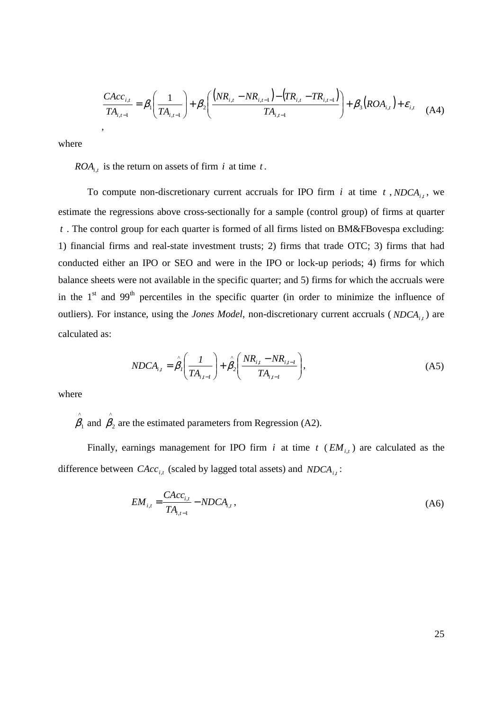$$
\frac{CAcc_{i,t}}{TA_{i,t-1}} = \beta_1 \left( \frac{1}{TA_{i,t-1}} \right) + \beta_2 \left( \frac{\left( NR_{i,t} - NR_{i,t-1} \right) - \left( TR_{i,t} - TR_{i,t-1} \right)}{TA_{i,t-1}} \right) + \beta_3 \left( ROA_{i,t} \right) + \varepsilon_{i,t} \tag{A4}
$$

where

 $ROA_{i,t}$  is the return on assets of firm *i* at time *t*.

To compute non-discretionary current accruals for IPO firm  $i$  at time  $t$ ,  $NDCA_{i,t}$ , we estimate the regressions above cross-sectionally for a sample (control group) of firms at quarter *t* . The control group for each quarter is formed of all firms listed on BM&FBovespa excluding: 1) financial firms and real-state investment trusts; 2) firms that trade OTC; 3) firms that had conducted either an IPO or SEO and were in the IPO or lock-up periods; 4) firms for which balance sheets were not available in the specific quarter; and 5) firms for which the accruals were in the  $1<sup>st</sup>$  and  $99<sup>th</sup>$  percentiles in the specific quarter (in order to minimize the influence of outliers). For instance, using the *Jones Model*, non-discretionary current accruals (*NDCA*<sub>*i,t*</sub>)</sub> are calculated as:

$$
NDCA_{i,t} = \hat{\beta}_I \left( \frac{1}{TA_{i,t-1}} \right) + \hat{\beta}_2 \left( \frac{NR_{i,t} - NR_{i,t-1}}{TA_{i,t-1}} \right),
$$
 (A5)

where

 $\hat{\beta}_1$  and  $\hat{\beta}_2$  are the estimated parameters from Regression (A2).

Finally, earnings management for IPO firm *i* at time  $t$  ( $EM_{i,t}$ ) are calculated as the difference between  $CAcc_{i,t}$  (scaled by lagged total assets) and  $NDCA_{i,t}$ :

$$
EM_{i,t} = \frac{CAcc_{i,t}}{TA_{i,t-1}} - NDCA_{i,t},
$$
\n(A6)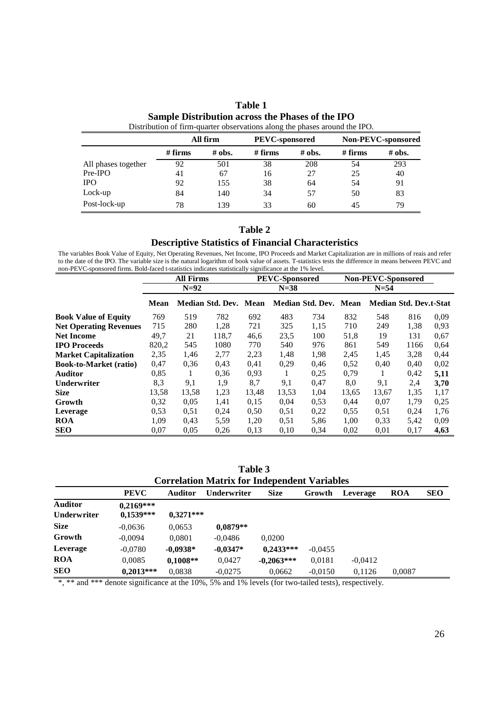|                     |           | All firm  | <b>PEVC-sponsored</b> |           |           | Non-PEVC-sponsored |
|---------------------|-----------|-----------|-----------------------|-----------|-----------|--------------------|
|                     | $#$ firms | $\#$ obs. | $#$ firms             | $\#$ obs. | $#$ firms | $\#$ obs.          |
| All phases together | 92        | 501       | 38                    | 208       | 54        | 293                |
| $Pre-IPO$           | 41        | 67        | 16                    | 27        | 25        | 40                 |
| <b>IPO</b>          | 92        | 155       | 38                    | 64        | 54        | 91                 |
| Lock-up             | 84        | 140       | 34                    | 57        | 50        | 83                 |
| Post-lock-up        | 78        | 139       | 33                    | 60        | 45        | 79                 |

| Table 1                                                                   |
|---------------------------------------------------------------------------|
| Sample Distribution across the Phases of the IPO                          |
| Distribution of firm-quarter observations along the phases around the IPO |

### **Table 2**

# **Descriptive Statistics of Financial Characteristics**

The variables Book Value of Equity, Net Operating Revenues, Net Income, IPO Proceeds and Market Capitalization are in millions of reais and refer to the date of the IPO. The variable size is the natural logarithm of book value of assets. T-statistics tests the difference in means between PEVC and non-PEVC-sponsored firms. Bold-faced t-statistics indicates statistically significance at the 1% level.

|                               |       | <b>All Firms</b> |                       |       | <b>PEVC-Sponsored</b> |                       |       | <b>Non-PEVC-Sponsored</b> |                               |      |
|-------------------------------|-------|------------------|-----------------------|-------|-----------------------|-----------------------|-------|---------------------------|-------------------------------|------|
|                               |       | $N=92$           |                       |       | $N=38$                |                       |       | $N=54$                    |                               |      |
|                               | Mean  |                  | Median Std. Dev. Mean |       |                       | Median Std. Dev. Mean |       |                           | <b>Median Std. Dev.t-Stat</b> |      |
| <b>Book Value of Equity</b>   | 769   | 519              | 782                   | 692   | 483                   | 734                   | 832   | 548                       | 816                           | 0.09 |
| <b>Net Operating Revenues</b> | 715   | 280              | 1,28                  | 721   | 325                   | 1,15                  | 710   | 249                       | 1,38                          | 0.93 |
| <b>Net Income</b>             | 49,7  | 21               | 118,7                 | 46,6  | 23,5                  | 100                   | 51,8  | 19                        | 131                           | 0.67 |
| <b>IPO</b> Proceeds           | 820,2 | 545              | 1080                  | 770   | 540                   | 976                   | 861   | 549                       | 1166                          | 0.64 |
| <b>Market Capitalization</b>  | 2,35  | 1,46             | 2,77                  | 2,23  | 1,48                  | 1,98                  | 2,45  | 1,45                      | 3,28                          | 0,44 |
| <b>Book-to-Market (ratio)</b> | 0,47  | 0.36             | 0.43                  | 0,41  | 0,29                  | 0,46                  | 0,52  | 0,40                      | 0,40                          | 0,02 |
| <b>Auditor</b>                | 0,85  | 1                | 0,36                  | 0.93  | 1                     | 0.25                  | 0,79  | 1                         | 0,42                          | 5,11 |
| Underwriter                   | 8.3   | 9,1              | 1,9                   | 8,7   | 9,1                   | 0.47                  | 8,0   | 9,1                       | 2,4                           | 3,70 |
| <b>Size</b>                   | 13,58 | 13,58            | 1,23                  | 13,48 | 13,53                 | 1,04                  | 13,65 | 13,67                     | 1,35                          | 1,17 |
| Growth                        | 0,32  | 0,05             | 1,41                  | 0,15  | 0,04                  | 0.53                  | 0,44  | 0,07                      | 1,79                          | 0,25 |
| Leverage                      | 0.53  | 0.51             | 0,24                  | 0,50  | 0.51                  | 0,22                  | 0.55  | 0.51                      | 0,24                          | 1,76 |
| <b>ROA</b>                    | 1,09  | 0.43             | 5,59                  | 1,20  | 0.51                  | 5,86                  | 1,00  | 0.33                      | 5,42                          | 0.09 |
| <b>SEO</b>                    | 0,07  | 0.05             | 0,26                  | 0.13  | 0,10                  | 0.34                  | 0,02  | 0,01                      | 0,17                          | 4,63 |

 **Table 3 Correlation Matrix for Independent Variables** 

|                               | <b>PEVC</b>                | <b>Auditor</b> | <b>Underwriter</b> | <b>Size</b>  | Growth    | Leverage  | <b>ROA</b> | <b>SEO</b> |
|-------------------------------|----------------------------|----------------|--------------------|--------------|-----------|-----------|------------|------------|
| Auditor<br><b>Underwriter</b> | $0,2169***$<br>$0.1539***$ | $0.3271***$    |                    |              |           |           |            |            |
| <b>Size</b>                   | $-0.0636$                  | 0,0653         | $0.0879**$         |              |           |           |            |            |
| Growth                        | $-0,0094$                  | 0,0801         | $-0.0486$          | 0.0200       |           |           |            |            |
| Leverage                      | $-0.0780$                  | $-0.0938*$     | $-0,0347*$         | $0.2433***$  | $-0.0455$ |           |            |            |
| <b>ROA</b>                    | 0,0085                     | $0,1008**$     | 0,0427             | $-0,2063***$ | 0,0181    | $-0.0412$ |            |            |
| <b>SEO</b>                    | $0.2013***$                | 0,0838         | $-0.0275$          | 0,0662       | $-0.0150$ | 0,1126    | 0,0087     |            |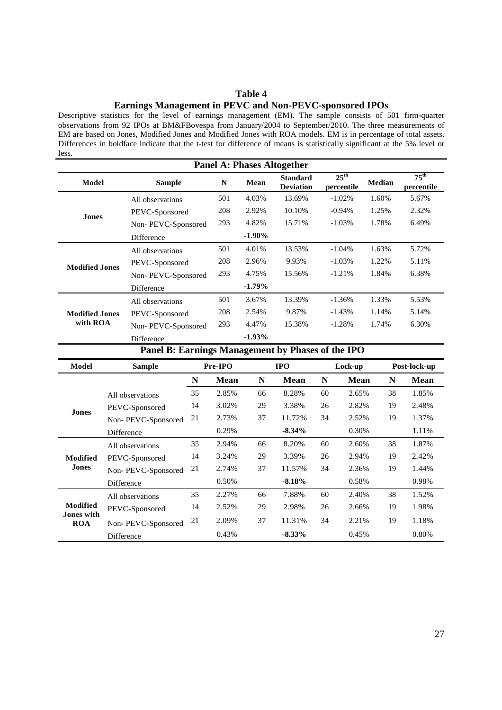## **Table 4 Earnings Management in PEVC and Non-PEVC-sponsored IPOs**

Descriptive statistics for the level of earnings management (EM). The sample consists of 501 firm-quarter observations from 92 IPOs at BM&FBovespa from January/2004 to September/2010. The three measurements of EM are based on Jones, Modified Jones and Modified Jones with ROA models. EM is in percentage of total assets. Differences in boldface indicate that the t-test for difference of means is statistically significant at the 5% level or less.

|                                   |                    |     | <b>Panel A: Phases Altogether</b> |                                     |                                |               |                                |
|-----------------------------------|--------------------|-----|-----------------------------------|-------------------------------------|--------------------------------|---------------|--------------------------------|
| Model                             | <b>Sample</b>      | N   | Mean                              | <b>Standard</b><br><b>Deviation</b> | $25^{\text{th}}$<br>percentile | <b>Median</b> | $75^{\text{th}}$<br>percentile |
|                                   | All observations   | 501 | 4.03%                             | 13.69%                              | $-1.02\%$                      | 1.60%         | 5.67%                          |
|                                   | PEVC-Sponsored     | 208 | 2.92%                             | 10.10%                              | $-0.94%$                       | 1.25%         | 2.32%                          |
| <b>Jones</b>                      | Non-PEVC-Sponsored | 293 | 4.82%                             | 15.71%                              | $-1.03%$                       | 1.78%         | 6.49%                          |
|                                   | Difference         |     | $-1.90\%$                         |                                     |                                |               |                                |
|                                   | All observations   | 501 | 4.01%                             | 13.53%                              | $-1.04%$                       | 1.63%         | 5.72%                          |
| <b>Modified Jones</b>             | PEVC-Sponsored     | 208 | 2.96%                             | 9.93%                               | $-1.03\%$                      | 1.22%         | 5.11%                          |
|                                   | Non-PEVC-Sponsored | 293 | 4.75%                             | 15.56%                              | $-1.21%$                       | 1.84%         | 6.38%                          |
|                                   | Difference         |     | $-1.79%$                          |                                     |                                |               |                                |
|                                   | All observations   | 501 | 3.67%                             | 13.39%                              | $-1.36%$                       | 1.33%         | 5.53%                          |
| <b>Modified Jones</b><br>with ROA | PEVC-Sponsored     | 208 | 2.54%                             | 9.87%                               | $-1.43%$                       | 1.14%         | 5.14%                          |
|                                   | Non-PEVC-Sponsored | 293 | 4.47%                             | 15.38%                              | $-1.28%$                       | 1.74%         | 6.30%                          |
|                                   | <b>Difference</b>  |     | $-1.93%$                          |                                     |                                |               |                                |

# **Panel B: Earnings Management by Phases of the IPO**

| Model                    | <b>Sample</b>      |    | Pre-IPO     |    | <b>IPO</b>  |    | Lock-up     |    | Post-lock-up |
|--------------------------|--------------------|----|-------------|----|-------------|----|-------------|----|--------------|
|                          |                    | N  | <b>Mean</b> | N  | <b>Mean</b> | N  | <b>Mean</b> | N  | <b>Mean</b>  |
|                          | All observations   | 35 | 2.85%       | 66 | 8.28%       | 60 | 2.65%       | 38 | 1.85%        |
| <b>Jones</b>             | PEVC-Sponsored     | 14 | 3.02%       | 29 | 3.38%       | 26 | 2.82%       | 19 | 2.48%        |
|                          | Non-PEVC-Sponsored | 21 | 2.73%       | 37 | 11.72%      | 34 | 2.52%       | 19 | 1.37%        |
|                          | Difference         |    | 0.29%       |    | $-8.34\%$   |    | 0.30%       |    | 1.11%        |
|                          | All observations   | 35 | 2.94%       | 66 | 8.20%       | 60 | 2.60%       | 38 | 1.87%        |
| <b>Modified</b>          | PEVC-Sponsored     | 14 | 3.24%       | 29 | 3.39%       | 26 | 2.94%       | 19 | 2.42%        |
| Jones                    | Non-PEVC-Sponsored | 21 | 2.74%       | 37 | 11.57%      | 34 | 2.36%       | 19 | 1.44%        |
|                          | Difference         |    | 0.50%       |    | $-8.18%$    |    | 0.58%       |    | 0.98%        |
|                          | All observations   | 35 | 2.27%       | 66 | 7.88%       | 60 | 2.40%       | 38 | 1.52%        |
| <b>Modified</b>          | PEVC-Sponsored     | 14 | 2.52%       | 29 | 2.98%       | 26 | 2.66%       | 19 | 1.98%        |
| Jones with<br><b>ROA</b> | Non-PEVC-Sponsored | 21 | 2.09%       | 37 | 11.31%      | 34 | 2.21%       | 19 | 1.18%        |
|                          | Difference         |    | 0.43%       |    | $-8.33\%$   |    | 0.45%       |    | 0.80%        |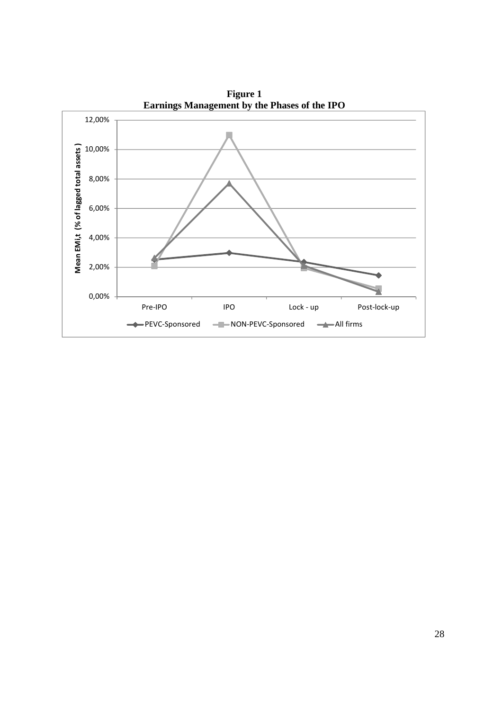

**Figure 1 Earnings Management by the Phases of the IPO**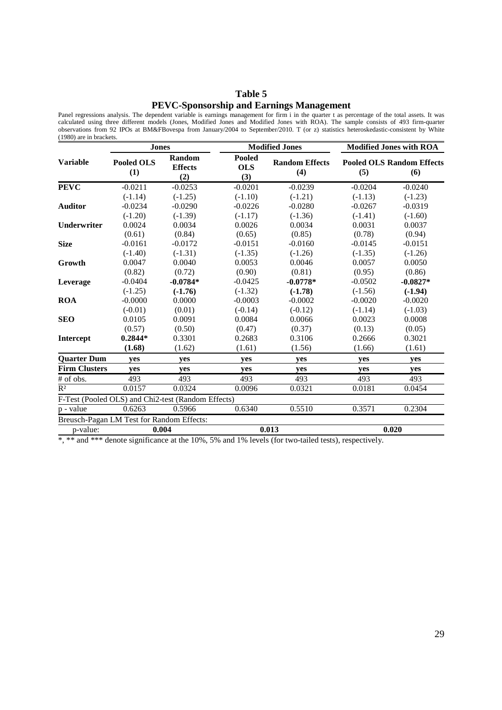## **Table 5 PEVC-Sponsorship and Earnings Management**

|                    | <b>Jones</b>             |                                 |                                    | <b>Modified Jones</b>        | <b>Modified Jones with ROA</b> |                                         |  |
|--------------------|--------------------------|---------------------------------|------------------------------------|------------------------------|--------------------------------|-----------------------------------------|--|
| <b>Variable</b>    | <b>Pooled OLS</b><br>(1) | Random<br><b>Effects</b><br>(2) | <b>Pooled</b><br><b>OLS</b><br>(3) | <b>Random Effects</b><br>(4) | (5)                            | <b>Pooled OLS Random Effects</b><br>(6) |  |
| <b>PEVC</b>        | $-0.0211$                | $-0.0253$                       | $-0.0201$                          | $-0.0239$                    | $-0.0204$                      | $-0.0240$                               |  |
|                    | $(-1.14)$                | $(-1.25)$                       | $(-1.10)$                          | $(-1.21)$                    | $(-1.13)$                      | $(-1.23)$                               |  |
| <b>Auditor</b>     | $-0.0234$                | $-0.0290$                       | $-0.0226$                          | $-0.0280$                    | $-0.0267$                      | $-0.0319$                               |  |
|                    | $(-1.20)$                | $(-1.39)$                       | $(-1.17)$                          | $(-1.36)$                    | $(-1.41)$                      | $(-1.60)$                               |  |
| <b>Underwriter</b> | 0.0024                   | 0.0034                          | 0.0026                             | 0.0034                       | 0.0031                         | 0.0037                                  |  |
|                    | (0.61)                   | (0.84)                          | (0.65)                             | (0.85)                       | (0.78)                         | (0.94)                                  |  |
| <b>Size</b>        | $-0.0161$                | $-0.0172$                       | $-0.0151$                          | $-0.0160$                    | $-0.0145$                      | $-0.0151$                               |  |
|                    | $(-1.40)$                | $(-1.31)$                       | $(-1.35)$                          | $(-1.26)$                    | $(-1.35)$                      | $(-1.26)$                               |  |
| Growth             | 0.0047                   | 0.0040                          | 0.0053                             | 0.0046                       | 0.0057                         | 0.0050                                  |  |
|                    | (0.82)                   | (0.72)                          | (0.90)                             | (0.81)                       | (0.95)                         | (0.86)                                  |  |
| Leverage           | $-0.0404$                | $-0.0784*$                      | $-0.0425$                          | $-0.0778*$                   | $-0.0502$                      | $-0.0827*$                              |  |
|                    | $(-1.25)$                | $(-1.76)$                       | $(-1.32)$                          | $(-1.78)$                    | $(-1.56)$                      | $(-1.94)$                               |  |
| <b>ROA</b>         | $-0.0000$                | 0.0000                          | $-0.0003$                          | $-0.0002$                    | $-0.0020$                      | $-0.0020$                               |  |
|                    | $(-0.01)$                | (0.01)                          | $(-0.14)$                          | $(-0.12)$                    | $(-1.14)$                      | $(-1.03)$                               |  |
| <b>SEO</b>         | 0.0105                   | 0.0091                          | 0.0084                             | 0.0066                       | 0.0023                         | 0.0008                                  |  |
|                    | (0.57)                   | (0.50)                          | (0.47)                             | (0.37)                       | (0.13)                         | (0.05)                                  |  |
| <b>Intercept</b>   | $0.2844*$                | 0.3301                          | 0.2683                             | 0.3106                       | 0.2666                         | 0.3021                                  |  |
|                    | (1.68)                   | (1.62)                          | (1.61)                             | (1.56)                       | (1.66)                         | (1.61)                                  |  |

**Quarter Dum yes yes yes yes yes yes Firm Clusters yes yes yes yes yes yes** # of obs. 493 493 493 493 493 493  $R<sup>2</sup>$  0.0157 0.0324 0.0096 0.0321 0.0181 0.0454

p - value 0.6263 0.5966 0.6340 0.5510 0.3571 0.2304

p-value: **0.004 0.013 0.020** 

Panel regressions analysis. The dependent variable is earnings management for firm i in the quarter t as percentage of the total assets. It was calculated using three different models (Jones, Modified Jones and Modified Jones with ROA). The sample consists of 493 firm-quarter observations from 92 IPOs at BM&FBovespa from January/2004 to September/2010. T (or z) statistics heteroskedastic-consistent by White

 $*$ ,  $**$  and  $***$  denote significance at the 10%, 5% and 1% levels (for two-tailed tests), respectively.

F-Test (Pooled OLS) and Chi2-test (Random Effects)

Breusch-Pagan LM Test for Random Effects: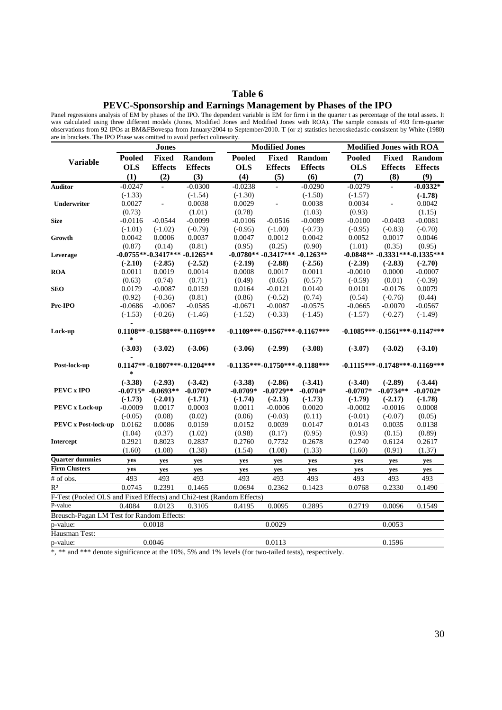# **Table 6**

#### **PEVC-Sponsorship and Earnings Management by Phases of the IPO**

Panel regressions analysis of EM by phases of the IPO. The dependent variable is EM for firm i in the quarter t as percentage of the total assets. It was calculated using three different models (Jones, Modified Jones and Modified Jones with ROA). The sample consists of 493 firm-quarter observations from 92 IPOs at BM&FBovespa from January/2004 to September/2010. T (or z) statistics heteroskedastic-consistent by White (1980) are in brackets. The IPO Phase was omitted to avoid perfect colinearity.

|                                                                      |               | <b>Jones</b>         |                                  | <b>Modified Jones</b> |                |                                      |               | <b>Modified Jones with ROA</b>   |                                       |  |
|----------------------------------------------------------------------|---------------|----------------------|----------------------------------|-----------------------|----------------|--------------------------------------|---------------|----------------------------------|---------------------------------------|--|
|                                                                      | <b>Pooled</b> | <b>Fixed</b>         | Random                           | <b>Pooled</b>         | <b>Fixed</b>   | Random                               | <b>Pooled</b> | Fixed                            | Random                                |  |
| <b>Variable</b>                                                      | <b>OLS</b>    | <b>Effects</b>       | <b>Effects</b>                   | <b>OLS</b>            | <b>Effects</b> | <b>Effects</b>                       | <b>OLS</b>    | <b>Effects</b>                   | <b>Effects</b>                        |  |
|                                                                      | (1)           | (2)                  | (3)                              | (4)                   | (5)            | (6)                                  | (7)           | (8)                              | (9)                                   |  |
| <b>Auditor</b>                                                       | $-0.0247$     | $\omega$             | $-0.0300$                        | $-0.0238$             | ÷.             | $-0.0290$                            | $-0.0279$     | $\overline{a}$                   | $-0.0332*$                            |  |
|                                                                      | $(-1.33)$     |                      | $(-1.54)$                        | $(-1.30)$             |                | $(-1.50)$                            | $(-1.57)$     |                                  | $(-1.78)$                             |  |
| Underwriter                                                          | 0.0027        | $\overline{a}$       | 0.0038                           | 0.0029                |                | 0.0038                               | 0.0034        |                                  | 0.0042                                |  |
|                                                                      | (0.73)        |                      | (1.01)                           | (0.78)                |                | (1.03)                               | (0.93)        |                                  | (1.15)                                |  |
| <b>Size</b>                                                          | $-0.0116$     | $-0.0544$            | $-0.0099$                        | $-0.0106$             | $-0.0516$      | $-0.0089$                            | $-0.0100$     | $-0.0403$                        | $-0.0081$                             |  |
|                                                                      | $(-1.01)$     | $(-1.02)$            | $(-0.79)$                        | $(-0.95)$             | $(-1.00)$      | $(-0.73)$                            | $(-0.95)$     | $(-0.83)$                        | $(-0.70)$                             |  |
| Growth                                                               | 0.0042        | 0.0006               | 0.0037                           | 0.0047                | 0.0012         | 0.0042                               | 0.0052        | 0.0017                           | 0.0046                                |  |
|                                                                      | (0.87)        | (0.14)               | (0.81)                           | (0.95)                | (0.25)         | (0.90)                               | (1.01)        | (0.35)                           | (0.95)                                |  |
| Leverage                                                             |               |                      | $-0.0755***-0.3417***-0.1265**$  |                       |                | $-0.0780**$ $-0.3417***$ $-0.1263**$ |               |                                  | $-0.0848**$ $-0.3331***$ $-0.1335***$ |  |
|                                                                      | $(-2.10)$     | $(-2.85)$            | $(-2.52)$                        | $(-2.19)$             | $(-2.88)$      | $(-2.56)$                            | $(-2.39)$     | $(-2.83)$                        | $(-2.70)$                             |  |
| <b>ROA</b>                                                           | 0.0011        | 0.0019               | 0.0014                           | 0.0008                | 0.0017         | 0.0011                               | $-0.0010$     | 0.0000                           | $-0.0007$                             |  |
|                                                                      | (0.63)        | (0.74)               | (0.71)                           | (0.49)                | (0.65)         | (0.57)                               | $(-0.59)$     | (0.01)                           | $(-0.39)$                             |  |
| <b>SEO</b>                                                           | 0.0179        | $-0.0087$            | 0.0159                           | 0.0164                | $-0.0121$      | 0.0140                               | 0.0101        | $-0.0176$                        | 0.0079                                |  |
|                                                                      | (0.92)        | $(-0.36)$            | (0.81)                           | (0.86)                | $(-0.52)$      | (0.74)                               | (0.54)        | $(-0.76)$                        | (0.44)                                |  |
| Pre-IPO                                                              | $-0.0686$     | $-0.0067$            | $-0.0585$                        | $-0.0671$             | $-0.0087$      | $-0.0575$                            | $-0.0665$     | $-0.0070$                        | $-0.0567$                             |  |
|                                                                      | $(-1.53)$     | $(-0.26)$            | $(-1.46)$                        | $(-1.52)$             | $(-0.33)$      | $(-1.45)$                            | $(-1.57)$     | $(-0.27)$                        | $(-1.49)$                             |  |
|                                                                      |               |                      |                                  |                       |                |                                      |               |                                  |                                       |  |
| Lock-up                                                              |               |                      | $0.1108** -0.1588*** -0.1169***$ |                       |                | $-0.1109***-0.1567***-0.1167***$     |               | $-0.1085***-0.1561***-0.1147***$ |                                       |  |
|                                                                      | $\star$       |                      |                                  |                       |                |                                      |               |                                  |                                       |  |
|                                                                      | $(-3.03)$     | $(-3.02)$            | $(-3.06)$                        | $(-3.06)$             | $(-2.99)$      | $(-3.08)$                            | $(-3.07)$     | $(-3.02)$                        | $(-3.10)$                             |  |
|                                                                      |               |                      |                                  |                       |                |                                      |               |                                  |                                       |  |
| Post-lock-up                                                         |               |                      | $0.1147** -0.1807*** -0.1204***$ |                       |                | $-0.1135***-0.1750***-0.1188***$     |               |                                  | $-0.1115***-0.1748***-0.1169***$      |  |
|                                                                      | $(-3.38)$     | $(-2.93)$            | $(-3.42)$                        | $(-3.38)$             | $(-2.86)$      | $(-3.41)$                            | $(-3.40)$     | $(-2.89)$                        | $(-3.44)$                             |  |
| PEVC x IPO                                                           |               | $-0.0715* -0.0693**$ | $-0.0707*$                       | $-0.0709*$            | $-0.0729**$    | $-0.0704*$                           | $-0.0707*$    | $-0.0734**$                      | $-0.0702*$                            |  |
|                                                                      | $(-1.73)$     | $(-2.01)$            | $(-1.71)$                        | $(-1.74)$             | $(-2.13)$      | $(-1.73)$                            | $(-1.79)$     | $(-2.17)$                        | $(-1.78)$                             |  |
| <b>PEVC</b> x Lock-up                                                | $-0.0009$     | 0.0017               | 0.0003                           | 0.0011                | $-0.0006$      | 0.0020                               | $-0.0002$     | $-0.0016$                        | 0.0008                                |  |
|                                                                      | $(-0.05)$     | (0.08)               | (0.02)                           | (0.06)                | $(-0.03)$      | (0.11)                               | $(-0.01)$     | $(-0.07)$                        | (0.05)                                |  |
| PEVC x Post-lock-up                                                  | 0.0162        | 0.0086               | 0.0159                           | 0.0152                | 0.0039         | 0.0147                               | 0.0143        | 0.0035                           | 0.0138                                |  |
|                                                                      | (1.04)        | (0.37)               | (1.02)                           | (0.98)                | (0.17)         | (0.95)                               | (0.93)        | (0.15)                           | (0.89)                                |  |
| <b>Intercept</b>                                                     | 0.2921        | 0.8023               | 0.2837                           | 0.2760                | 0.7732         | 0.2678                               | 0.2740        | 0.6124                           | 0.2617                                |  |
|                                                                      | (1.60)        | (1.08)               | (1.38)                           | (1.54)                | (1.08)         | (1.33)                               | (1.60)        | (0.91)                           | (1.37)                                |  |
| <b>Quarter dummies</b>                                               | yes           | yes                  | yes                              | yes                   | yes            | yes                                  | yes           | yes                              | yes                                   |  |
| <b>Firm Clusters</b>                                                 | yes           | yes                  | yes                              | yes                   | yes            | yes                                  | yes           | yes                              | yes                                   |  |
| # of obs.                                                            | 493           | 493                  | 493                              | 493                   | 493            | 493                                  | 493           | 493                              | 493                                   |  |
| R <sup>2</sup>                                                       | 0.0745        | 0.2391               | 0.1465                           | 0.0694                | 0.2362         | 0.1423                               | 0.0768        | 0.2330                           | 0.1490                                |  |
| F-Test (Pooled OLS and Fixed Effects) and Chi2-test (Random Effects) |               |                      |                                  |                       |                |                                      |               |                                  |                                       |  |
| P-value                                                              | 0.4084        | 0.0123               | 0.3105                           | 0.4195                | 0.0095         | 0.2895                               | 0.2719        | 0.0096                           | 0.1549                                |  |
| Breusch-Pagan LM Test for Random Effects:                            |               |                      |                                  |                       |                |                                      |               |                                  |                                       |  |
| p-value:                                                             |               | 0.0018               |                                  |                       | 0.0029         |                                      |               | 0.0053                           |                                       |  |
| Hausman Test:                                                        |               |                      |                                  |                       |                |                                      |               |                                  |                                       |  |
| p-value:                                                             |               | 0.0046               |                                  |                       | 0.0113         |                                      |               | 0.1596                           |                                       |  |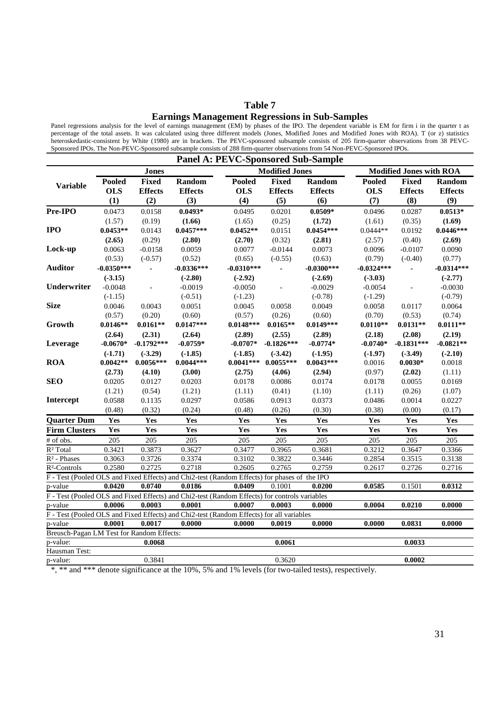# **Table 7**

## **Earnings Management Regressions in Sub-Samples**

Panel regressions analysis for the level of earnings management (EM) by phases of the IPO. The dependent variable is EM for firm i in the quarter t as percentage of the total assets. It was calculated using three different models (Jones, Modified Jones and Modified Jones with ROA). T (or z) statistics heteroskedastic-consistent by White (1980) are in brackets. The PEVC-sponsored subsample consists of 205 firm-quarter observations from 38 PEVC-Sponsored IPOs. The Non-PEVC-Sponsored subsample consists of 288 firm-quarter observations from 54 Non-PEVC-Sponsored IPOs. **Panel A: PEVC-Sponsored Sub-Sample** 

|                                                                                               |                  |                     |                | Panel A: PEVC-Sponsored Sub-Sample |                       |                |                  |                                |                  |
|-----------------------------------------------------------------------------------------------|------------------|---------------------|----------------|------------------------------------|-----------------------|----------------|------------------|--------------------------------|------------------|
|                                                                                               |                  | <b>Jones</b>        |                |                                    | <b>Modified Jones</b> |                |                  | <b>Modified Jones with ROA</b> |                  |
| <b>Variable</b>                                                                               | <b>Pooled</b>    | Fixed               | Random         | <b>Pooled</b>                      | <b>Fixed</b>          | Random         | <b>Pooled</b>    | <b>Fixed</b>                   | Random           |
|                                                                                               | <b>OLS</b>       | <b>Effects</b>      | <b>Effects</b> | <b>OLS</b>                         | <b>Effects</b>        | <b>Effects</b> | <b>OLS</b>       | <b>Effects</b>                 | <b>Effects</b>   |
|                                                                                               | (1)              | (2)                 | (3)            | (4)                                | (5)                   | (6)            | (7)              | (8)                            | (9)              |
| Pre-IPO                                                                                       | 0.0473           | 0.0158              | $0.0493*$      | 0.0495                             | 0.0201                | $0.0509*$      | 0.0496           | 0.0287                         | $0.0513*$        |
|                                                                                               | (1.57)           | (0.19)              | (1.66)         | (1.65)                             | (0.25)                | (1.72)         | (1.61)           | (0.35)                         | (1.69)           |
| <b>IPO</b>                                                                                    | $0.0453**$       | 0.0143              | $0.0457***$    | $0.0452**$                         | 0.0151                | $0.0454***$    | $0.0444**$       | 0.0192                         | $0.0446***$      |
|                                                                                               | (2.65)           | (0.29)              | (2.80)         | (2.70)                             | (0.32)                | (2.81)         | (2.57)           | (0.40)                         | (2.69)           |
| Lock-up                                                                                       | 0.0063           | $-0.0158$           | 0.0059         | 0.0077                             | $-0.0144$             | 0.0073         | 0.0096           | $-0.0107$                      | 0.0090           |
|                                                                                               | (0.53)           | $(-0.57)$           | (0.52)         | (0.65)                             | $(-0.55)$             | (0.63)         | (0.79)           | $(-0.40)$                      | (0.77)           |
| <b>Auditor</b>                                                                                | $-0.0350***$     | $\blacksquare$      | $-0.0336***$   | $-0.0310***$                       | $\blacksquare$        | $-0.0300***$   | $-0.0324***$     | $\blacksquare$                 | $-0.0314***$     |
|                                                                                               | $(-3.15)$        |                     | $(-2.80)$      | $(-2.92)$                          |                       | $(-2.69)$      | $(-3.03)$        |                                | $(-2.77)$        |
| Underwriter                                                                                   | $-0.0048$        | $\bar{\phantom{a}}$ | $-0.0019$      | $-0.0050$                          |                       | $-0.0029$      | $-0.0054$        | $\overline{\phantom{a}}$       | $-0.0030$        |
|                                                                                               | $(-1.15)$        |                     | $(-0.51)$      | $(-1.23)$                          |                       | $(-0.78)$      | $(-1.29)$        |                                | $(-0.79)$        |
| <b>Size</b>                                                                                   | 0.0046           | 0.0043              | 0.0051         | 0.0045                             | 0.0058                | 0.0049         | 0.0058           | 0.0117                         | 0.0064           |
|                                                                                               | (0.57)           | (0.20)              | (0.60)         | (0.57)                             | (0.26)                | (0.60)         | (0.70)           | (0.53)                         | (0.74)           |
| Growth                                                                                        | $0.0146**$       | $0.0161**$          | $0.0147***$    | $0.0148***$                        | $0.0165**$            | $0.0149***$    | $0.0110**$       | $0.0131**$                     | $0.0111**$       |
|                                                                                               | (2.64)           | (2.31)              | (2.64)         | (2.89)                             | (2.55)                | (2.89)         | (2.18)           | (2.08)                         | (2.19)           |
| Leverage                                                                                      | $-0.0670*$       | $-0.1792***$        | $-0.0759*$     | $-0.0707*$                         | $-0.1826***$          | $-0.0774*$     | $-0.0740*$       | $-0.1831***$                   | $-0.0821**$      |
|                                                                                               | $(-1.71)$        | $(-3.29)$           | $(-1.85)$      | $(-1.85)$                          | $(-3.42)$             | $(-1.95)$      | $(-1.97)$        | $(-3.49)$                      | $(-2.10)$        |
| <b>ROA</b>                                                                                    | $0.0042**$       | $0.0056***$         | $0.0044***$    | $0.0041***$                        | $0.0055***$           | $0.0043***$    | 0.0016           | $0.0030*$                      | 0.0018           |
|                                                                                               | (2.73)           | (4.10)              | (3.00)         | (2.75)                             | (4.06)                | (2.94)         | (0.97)           | (2.02)                         | (1.11)           |
| <b>SEO</b>                                                                                    | 0.0205           | 0.0127              | 0.0203         | 0.0178                             | 0.0086                | 0.0174         | 0.0178           | 0.0055                         | 0.0169           |
|                                                                                               | (1.21)           | (0.54)              | (1.21)         | (1.11)                             | (0.41)                | (1.10)         | (1.11)           | (0.26)                         | (1.07)           |
| Intercept                                                                                     | 0.0588           | 0.1135              | 0.0297         | 0.0586                             | 0.0913                | 0.0373         | 0.0486           | 0.0014                         | 0.0227           |
|                                                                                               | (0.48)           | (0.32)              | (0.24)         | (0.48)                             | (0.26)                | (0.30)         | (0.38)           | (0.00)                         | (0.17)           |
| <b>Quarter Dum</b>                                                                            | Yes              | Yes                 | Yes            | Yes                                | Yes                   | Yes            | Yes              | Yes                            | Yes              |
| <b>Firm Clusters</b>                                                                          | Yes              | Yes                 | Yes            | Yes                                | Yes                   | Yes            | Yes              | Yes                            | Yes              |
| # of obs.                                                                                     | $\overline{205}$ | $\overline{205}$    | 205            | 205                                | $\overline{205}$      | 205            | $\overline{205}$ | $\overline{205}$               | $\overline{205}$ |
| R <sup>2</sup> Total                                                                          | 0.3421           | 0.3873              | 0.3627         | 0.3477                             | 0.3965                | 0.3681         | 0.3212           | 0.3647                         | 0.3366           |
| $R2$ - Phases                                                                                 | 0.3063           | 0.3726              | 0.3374         | 0.3102                             | 0.3822                | 0.3446         | 0.2854           | 0.3515                         | 0.3138           |
| R <sup>2</sup> -Controls                                                                      | 0.2580           | 0.2725              | 0.2718         | 0.2605                             | 0.2765                | 0.2759         | 0.2617           | 0.2726                         | 0.2716           |
| F - Test (Pooled OLS and Fixed Effects) and Chi2-test (Random Effects) for phases of the IPO  |                  |                     |                |                                    |                       |                |                  |                                |                  |
| p-value                                                                                       | 0.0420           | 0.0740              | 0.0186         | 0.0409                             | 0.1001                | 0.0200         | 0.0585           | 0.1501                         | 0.0312           |
| F - Test (Pooled OLS and Fixed Effects) and Chi2-test (Random Effects) for controls variables |                  |                     |                |                                    |                       |                |                  |                                |                  |
| p-value                                                                                       | 0.0006           | 0.0003              | 0.0001         | 0.0007                             | 0.0003                | 0.0000         | 0.0004           | 0.0210                         | 0.0000           |
| F - Test (Pooled OLS and Fixed Effects) and Chi2-test (Random Effects) for all variables      |                  |                     |                |                                    |                       |                |                  |                                |                  |
| p-value                                                                                       | 0.0001           | 0.0017              | 0.0000         | 0.0000                             | 0.0019                | 0.0000         | 0.0000           | 0.0831                         | 0.0000           |
| Breusch-Pagan LM Test for Random Effects:                                                     |                  |                     |                |                                    |                       |                |                  |                                |                  |
| p-value:                                                                                      |                  | 0.0068              |                |                                    | 0.0061                |                |                  | 0.0033                         |                  |
| Hausman Test:                                                                                 |                  |                     |                |                                    |                       |                |                  |                                |                  |
| p-value:                                                                                      |                  | 0.3841              |                |                                    | 0.3620                |                |                  | 0.0002                         |                  |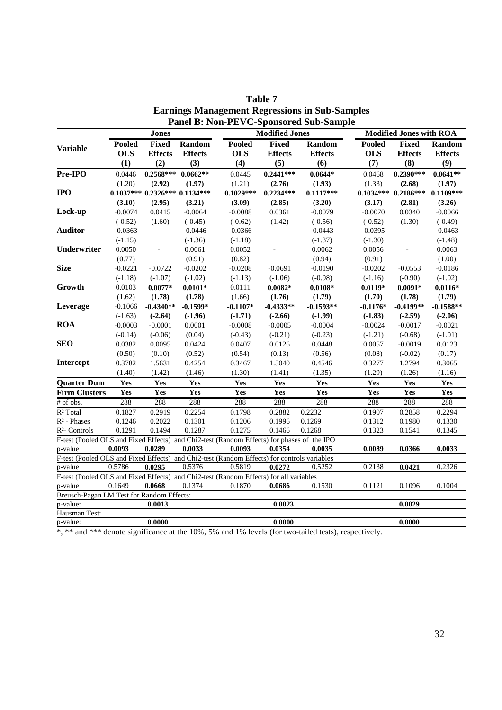|                                                                                             |                                    | <b>Jones</b>                          |                                 |                                    | <b>Modified Jones</b>                 |                                 |                             | <b>Modified Jones with ROA</b>        |                                 |
|---------------------------------------------------------------------------------------------|------------------------------------|---------------------------------------|---------------------------------|------------------------------------|---------------------------------------|---------------------------------|-----------------------------|---------------------------------------|---------------------------------|
| <b>Variable</b>                                                                             | <b>Pooled</b><br><b>OLS</b><br>(1) | <b>Fixed</b><br><b>Effects</b><br>(2) | Random<br><b>Effects</b><br>(3) | <b>Pooled</b><br><b>OLS</b><br>(4) | <b>Fixed</b><br><b>Effects</b><br>(5) | Random<br><b>Effects</b><br>(6) | Pooled<br><b>OLS</b><br>(7) | <b>Fixed</b><br><b>Effects</b><br>(8) | Random<br><b>Effects</b><br>(9) |
| Pre-IPO                                                                                     | 0.0446                             | $0.2568***$                           | $0.0662**$                      | 0.0445                             | $0.2441***$                           | $0.0644*$                       | 0.0468                      | $0.2390***$                           | $0.0641**$                      |
|                                                                                             | (1.20)                             | (2.92)                                | (1.97)                          | (1.21)                             | (2.76)                                | (1.93)                          | (1.33)                      | (2.68)                                | (1.97)                          |
| <b>IPO</b>                                                                                  |                                    | $0.1037***$ $0.2326***$ $0.1134***$   |                                 | $0.1029***$                        | $0.2234***$                           | $0.1117***$                     |                             | $0.1034***$ $0.2186***$               | $0.1109***$                     |
|                                                                                             | (3.10)                             | (2.95)                                | (3.21)                          | (3.09)                             | (2.85)                                | (3.20)                          | (3.17)                      | (2.81)                                | (3.26)                          |
| Lock-up                                                                                     | $-0.0074$                          | 0.0415                                | $-0.0064$                       | $-0.0088$                          | 0.0361                                | $-0.0079$                       | $-0.0070$                   | 0.0340                                | $-0.0066$                       |
|                                                                                             | $(-0.52)$                          | (1.60)                                | $(-0.45)$                       | $(-0.62)$                          | (1.42)                                | $(-0.56)$                       | $(-0.52)$                   | (1.30)                                | $(-0.49)$                       |
| <b>Auditor</b>                                                                              | $-0.0363$                          | $\bar{\phantom{a}}$                   | $-0.0446$                       | $-0.0366$                          | $\blacksquare$                        | $-0.0443$                       | $-0.0395$                   |                                       | $-0.0463$                       |
|                                                                                             | $(-1.15)$                          |                                       | $(-1.36)$                       | $(-1.18)$                          |                                       | $(-1.37)$                       | $(-1.30)$                   |                                       | $(-1.48)$                       |
| Underwriter                                                                                 | 0.0050                             |                                       | 0.0061                          | 0.0052                             |                                       | 0.0062                          | 0.0056                      |                                       | 0.0063                          |
|                                                                                             | (0.77)                             |                                       | (0.91)                          | (0.82)                             |                                       | (0.94)                          | (0.91)                      |                                       | (1.00)                          |
| <b>Size</b>                                                                                 | $-0.0221$                          | $-0.0722$                             | $-0.0202$                       | $-0.0208$                          | $-0.0691$                             | $-0.0190$                       | $-0.0202$                   | $-0.0553$                             | $-0.0186$                       |
|                                                                                             | $(-1.18)$                          | $(-1.07)$                             | $(-1.02)$                       | $(-1.13)$                          | $(-1.06)$                             | $(-0.98)$                       | $(-1.16)$                   | $(-0.90)$                             | $(-1.02)$                       |
| Growth                                                                                      | 0.0103                             | $0.0077*$                             | $0.0101*$                       | 0.0111                             | $0.0082*$                             | $0.0108*$                       | $0.0119*$                   | $0.0091*$                             | $0.0116*$                       |
|                                                                                             | (1.62)                             | (1.78)                                | (1.78)                          | (1.66)                             | (1.76)                                | (1.79)                          | (1.70)                      | (1.78)                                | (1.79)                          |
| Leverage                                                                                    | $-0.1066$                          | $-0.4340**$                           | $-0.1599*$                      | $-0.1107*$                         | $-0.4333**$                           | $-0.1593**$                     | $-0.1176*$                  | $-0.4199**$                           | $-0.1588**$                     |
|                                                                                             | $(-1.63)$                          | $(-2.64)$                             | $(-1.96)$                       | $(-1.71)$                          | $(-2.66)$                             | $(-1.99)$                       | $(-1.83)$                   | $(-2.59)$                             | $(-2.06)$                       |
| <b>ROA</b>                                                                                  | $-0.0003$                          | $-0.0001$                             | 0.0001                          | $-0.0008$                          | $-0.0005$                             | $-0.0004$                       | $-0.0024$                   | $-0.0017$                             | $-0.0021$                       |
|                                                                                             | $(-0.14)$                          | $(-0.06)$                             | (0.04)                          | $(-0.43)$                          | $(-0.21)$                             | $(-0.23)$                       | $(-1.21)$                   | $(-0.68)$                             | $(-1.01)$                       |
| <b>SEO</b>                                                                                  | 0.0382                             | 0.0095                                | 0.0424                          | 0.0407                             | 0.0126                                | 0.0448                          | 0.0057                      | $-0.0019$                             | 0.0123                          |
|                                                                                             | (0.50)                             | (0.10)                                | (0.52)                          | (0.54)                             | (0.13)                                | (0.56)                          | (0.08)                      | $(-0.02)$                             | (0.17)                          |
| Intercept                                                                                   | 0.3782                             | 1.5631                                | 0.4254                          | 0.3467                             | 1.5040                                | 0.4546                          | 0.3277                      | 1.2794                                | 0.3065                          |
|                                                                                             | (1.40)                             | (1.42)                                | (1.46)                          | (1.30)                             | (1.41)                                | (1.35)                          | (1.29)                      | (1.26)                                | (1.16)                          |
| <b>Quarter Dum</b>                                                                          | Yes                                | Yes                                   | Yes                             | Yes                                | Yes                                   | Yes                             | Yes                         | Yes                                   | Yes                             |
| <b>Firm Clusters</b>                                                                        | Yes                                | Yes                                   | Yes                             | Yes                                | Yes                                   | Yes                             | Yes                         | Yes                                   | Yes                             |
| # of obs.                                                                                   | 288                                | 288                                   | 288                             | 288                                | 288                                   | 288                             | 288                         | 288                                   | 288                             |
| R <sup>2</sup> Total                                                                        | 0.1827                             | 0.2919                                | 0.2254                          | 0.1798                             | 0.2882                                | 0.2232                          | 0.1907                      | 0.2858                                | 0.2294                          |
| R <sup>2</sup> - Phases                                                                     | 0.1246                             | 0.2022                                | 0.1301                          | 0.1206                             | 0.1996                                | 0.1269                          | 0.1312                      | 0.1980                                | 0.1330                          |
| $\overline{R^2}$ - Controls                                                                 | 0.1291                             | 0.1494                                | 0.1287                          | 0.1275                             | 0.1466                                | 0.1268                          | 0.1323                      | 0.1541                                | 0.1345                          |
| F-test (Pooled OLS and Fixed Effects) and Chi2-test (Random Effects) for phases of the IPO  |                                    |                                       |                                 |                                    |                                       |                                 |                             |                                       |                                 |
| p-value                                                                                     | 0.0093                             | 0.0289                                | 0.0033                          | 0.0093                             | 0.0354                                | 0.0035                          | 0.0089                      | 0.0366                                | 0.0033                          |
| F-test (Pooled OLS and Fixed Effects) and Chi2-test (Random Effects) for controls variables |                                    |                                       |                                 |                                    |                                       |                                 |                             |                                       |                                 |
| p-value                                                                                     | 0.5786                             | 0.0295                                | 0.5376                          | 0.5819                             | 0.0272                                | 0.5252                          | 0.2138                      | 0.0421                                | 0.2326                          |
| F-test (Pooled OLS and Fixed Effects) and Chi2-test (Random Effects) for all variables      |                                    |                                       |                                 |                                    |                                       |                                 |                             |                                       |                                 |
| p-value                                                                                     | 0.1649                             | 0.0668                                | 0.1374                          | 0.1870                             | 0.0686                                | 0.1530                          | 0.1121                      | 0.1096                                | 0.1004                          |
| Breusch-Pagan LM Test for Random Effects:                                                   |                                    |                                       |                                 |                                    |                                       |                                 |                             |                                       |                                 |
| p-value:                                                                                    |                                    | 0.0013                                |                                 |                                    | 0.0023                                |                                 |                             | 0.0029                                |                                 |
| Hausman Test:                                                                               |                                    |                                       |                                 |                                    |                                       |                                 |                             |                                       |                                 |
| p-value:                                                                                    |                                    | 0.0000                                |                                 |                                    | 0.0000                                |                                 |                             | 0.0000                                |                                 |

**Table 7 Earnings Management Regressions in Sub-Samples Panel B: Non-PEVC-Sponsored Sub-Sample**